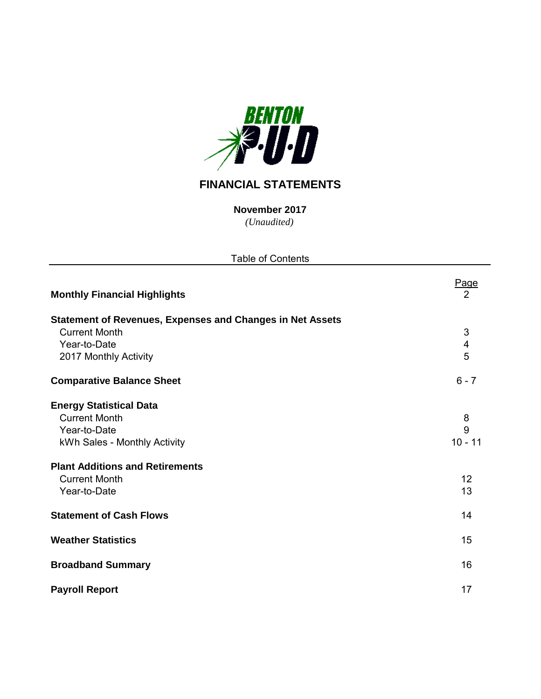

# **FINANCIAL STATEMENTS**

*(Unaudited)* **November 2017**

| <b>Table of Contents</b>                                         |           |
|------------------------------------------------------------------|-----------|
| <b>Monthly Financial Highlights</b>                              | Page<br>2 |
| <b>Statement of Revenues, Expenses and Changes in Net Assets</b> |           |
| <b>Current Month</b>                                             | 3         |
| Year-to-Date                                                     | 4         |
| 2017 Monthly Activity                                            | 5         |
| <b>Comparative Balance Sheet</b>                                 | $6 - 7$   |
| <b>Energy Statistical Data</b>                                   |           |
| <b>Current Month</b>                                             | 8         |
| Year-to-Date                                                     | 9         |
| kWh Sales - Monthly Activity                                     | $10 - 11$ |
| <b>Plant Additions and Retirements</b>                           |           |
| <b>Current Month</b>                                             | 12        |
| Year-to-Date                                                     | 13        |
| <b>Statement of Cash Flows</b>                                   | 14        |
|                                                                  |           |
| <b>Weather Statistics</b>                                        | 15        |
| <b>Broadband Summary</b>                                         | 16        |
| <b>Payroll Report</b>                                            | 17        |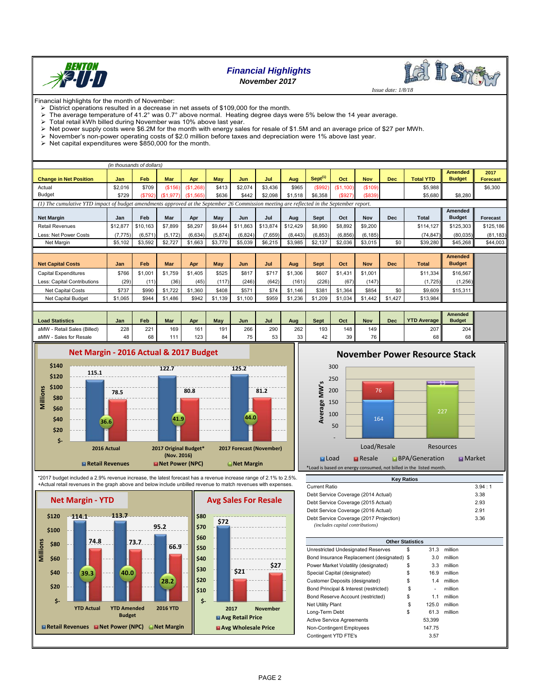

# *Financial Highlights November 2017*



 *Issue date: 1/8/18*

Financial highlights for the month of November:

 $\triangleright$  District operations resulted in a decrease in net assets of \$109,000 for the month.

- The average temperature of 41.2° was 0.7° above normal. Heating degree days were 5% below the 14 year average.
- $\geq$  Total retail kWh billed during November was 10% above last year.<br> $\geq$  Net nower supply costs were \$6.2M for the month with energy sale
- $\triangleright$  Net power supply costs were \$6.2M for the month with energy sales for resale of \$1.5M and an average price of \$27 per MWh.
- $\triangleright$  November's non-power operating costs of \$2.0 million before taxes and depreciation were 1% above last year.
- $\triangleright$  Net capital expenditures were \$850,000 for the month.

|                                                                                                                                           |          | (in thousands of dollars) |            |                       |         |          |          |          |                     |           |            |            |                  |                                 |                         |
|-------------------------------------------------------------------------------------------------------------------------------------------|----------|---------------------------|------------|-----------------------|---------|----------|----------|----------|---------------------|-----------|------------|------------|------------------|---------------------------------|-------------------------|
| <b>Change in Net Position</b>                                                                                                             | Jan      | Feb                       | <b>Mar</b> | Apr                   | May     | Jun      | Jul      | Aug      | Sept <sup>(1)</sup> | Oct       | <b>Nov</b> | <b>Dec</b> | <b>Total YTD</b> | <b>Amended</b><br><b>Budget</b> | 2017<br><b>Forecast</b> |
| Actual                                                                                                                                    | \$2,016  | \$709                     |            | $(S156)$ $(S1,268)$   | \$413   | \$2,074  | \$3,436  | \$965    | (S992)              | (S1, 100) | (\$109)    |            | \$5.988          |                                 | \$6,300                 |
| <b>Budget</b>                                                                                                                             | \$729    | (S792)                    |            | $(S1,977)$ $(S1,565)$ | \$636   | \$442    | \$2.098  | \$1,518  | \$6,358             | (\$927)   | ( \$839)   |            | \$5,680          | \$8,280                         |                         |
| (1) The cumulative YTD impact of budget amendments approved at the September 26 Commission meeting are reflected in the September report. |          |                           |            |                       |         |          |          |          |                     |           |            |            |                  |                                 |                         |
| <b>Net Margin</b>                                                                                                                         | Jan      | Feb                       | Mar        | Apr                   | May     | Jun      | Jul      | Aug      | Sept                | Oct       | <b>Nov</b> | <b>Dec</b> | Total            | Amended<br><b>Budget</b>        | <b>Forecast</b>         |
| <b>Retail Revenues</b>                                                                                                                    | \$12,877 | \$10.163                  | \$7,899    | \$8.297               | \$9.644 | \$11,863 | \$13,874 | \$12,429 | \$8,990             | \$8,892   | \$9,200    |            | \$114.127        | \$125,303                       | \$125,186               |
| Less: Net Power Costs                                                                                                                     | (7, 775) | (6, 571)                  | (5, 172)   | (6,634)               | (5,874) | (6, 824) | (7,659)  | (8, 443) | (6, 853)            | (6, 856)  | (6, 185)   |            | (74, 847)        | (80,035)                        | (81, 183)               |
| Net Margin                                                                                                                                | \$5,102  | \$3,592                   | \$2,727    | \$1,663               | \$3,770 | \$5,039  | \$6,215  | \$3,985  | \$2.137             | \$2,036   | \$3,015    | \$0        | \$39,280         | \$45,268                        | \$44,003                |
|                                                                                                                                           |          |                           |            |                       |         |          |          |          |                     |           |            |            |                  |                                 |                         |

|                             |         |         |            |         |       |         |       |         |             |         |            |            |              | <b>Amended</b> |  |
|-----------------------------|---------|---------|------------|---------|-------|---------|-------|---------|-------------|---------|------------|------------|--------------|----------------|--|
| <b>Net Capital Costs</b>    | Jan     | Feb     | <b>Mar</b> | Apr     | May   | Jun     | Jul   | Aug     | <b>Sept</b> | Oct     | <b>Nov</b> | <b>Dec</b> | <b>Total</b> | <b>Budget</b>  |  |
| Capital Expenditures        | \$766   | \$1.001 | \$1.759    | \$1.405 | \$525 | \$817   | \$71  | \$1,306 | \$607       | \$1,431 | \$1,001    |            | \$11.334     | \$16,567       |  |
| Less: Capital Contributions | (29)    | (11)    | (36)       | (45)    | (117) | (246)   | (642) | (161)   | (226)       | (67)    | (147)      |            | 1,725)       | (1,256)        |  |
| Net Capital Costs           | \$737   | \$990   | \$1,722    | \$1,360 | \$408 | \$571   | \$74  | \$1,146 | \$381       | \$1,364 | \$854      | \$0        | \$9,609      | \$15,311       |  |
| Net Capital Budget          | \$1,065 | \$944   | \$1,486    | \$942   | .139  | \$1,100 | \$959 | \$1,236 | \$1.209     | \$1.034 | \$1.442    | \$1,427    | \$13,984     |                |  |
|                             |         |         |            |         |       |         |       |         |             |         |            |            |              |                |  |

| <b>Load Statistics</b>         | Jan | Feb    | <b>Mar</b> | Apr | May | Jun | Jul | Aug      | Sept | Oct | <b>Nov</b> | Dec | <b>YTD Average</b> | Amended<br><b>Budget</b> |
|--------------------------------|-----|--------|------------|-----|-----|-----|-----|----------|------|-----|------------|-----|--------------------|--------------------------|
| - Retail Sales (Billed)<br>aMW | 228 | 221    | 169        | 161 | 191 | 266 | 290 | 262      | 193  | 148 | 149        |     | 207                | 204                      |
| Sales for Resale<br>aMW        | 48  | $\sim$ | 111        | 123 | 84  | 75  | 53  | 22<br>ບບ | 42   | 39  | 76         |     | 68                 | 68 II                    |



\*2017 budget included a 2.9% revenue increase, the latest forecast has a revenue increase range of 2.1% to 2.5%. +Actual retail revenues in the graph above and below include unbilled revenue to match revenues with expenses.



# **November Power Resource Stack**



| <b>Key Ratios</b>                       |        |
|-----------------------------------------|--------|
| Current Ratio                           | 3.94:1 |
| Debt Service Coverage (2014 Actual)     | 3.38   |
| Debt Service Coverage (2015 Actual)     | 2.93   |
| Debt Service Coverage (2016 Actual)     | 2.91   |
| Debt Service Coverage (2017 Projection) | 3.36   |
| (includes capital contributions)        |        |
|                                         |        |

| <b>Other Statistics</b>                    |             |         |  |
|--------------------------------------------|-------------|---------|--|
| Unrestricted Undesignated Reserves         | \$<br>31.3  | million |  |
| Bond Insurance Replacement (designated) \$ | 3.0         | million |  |
| Power Market Volatility (designated)       | \$<br>3.3   | million |  |
| Special Capital (designated)               | \$<br>16.9  | million |  |
| Customer Deposits (designated)             | \$<br>1.4   | million |  |
| Bond Principal & Interest (restricted)     | \$<br>۰     | million |  |
| Bond Reserve Account (restricted)          | \$<br>1.1   | million |  |
| <b>Net Utility Plant</b>                   | \$<br>125.0 | million |  |
| Long-Term Debt                             | \$<br>61.3  | million |  |
| <b>Active Service Agreements</b>           | 53.399      |         |  |
| Non-Contingent Employees                   | 147.75      |         |  |
| Contingent YTD FTE's                       | 3.57        |         |  |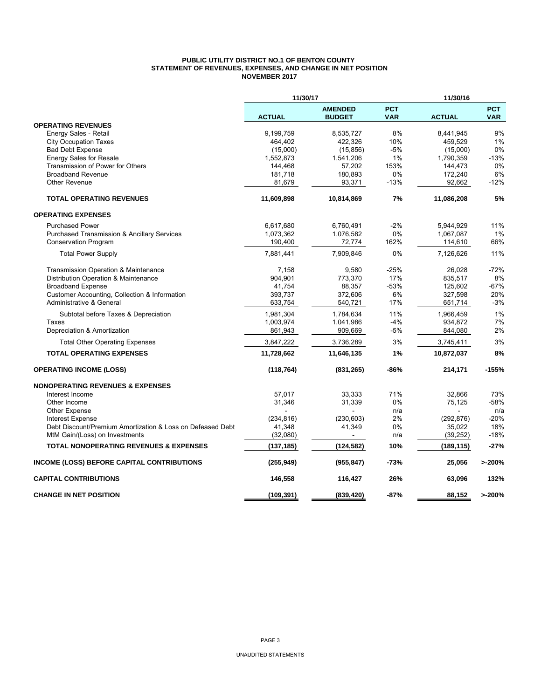#### **PUBLIC UTILITY DISTRICT NO.1 OF BENTON COUNTY STATEMENT OF REVENUES, EXPENSES, AND CHANGE IN NET POSITION NOVEMBER 2017**

|                                                            | 11/30/17      |                                 |                          | 11/30/16      |                          |
|------------------------------------------------------------|---------------|---------------------------------|--------------------------|---------------|--------------------------|
|                                                            | <b>ACTUAL</b> | <b>AMENDED</b><br><b>BUDGET</b> | <b>PCT</b><br><b>VAR</b> | <b>ACTUAL</b> | <b>PCT</b><br><b>VAR</b> |
| <b>OPERATING REVENUES</b>                                  |               |                                 |                          |               |                          |
| Energy Sales - Retail                                      | 9,199,759     | 8,535,727                       | 8%                       | 8,441,945     | 9%                       |
| <b>City Occupation Taxes</b>                               | 464,402       | 422,326                         | 10%                      | 459,529       | 1%                       |
| <b>Bad Debt Expense</b>                                    | (15,000)      | (15, 856)                       | $-5%$                    | (15,000)      | 0%                       |
| <b>Energy Sales for Resale</b>                             | 1,552,873     | 1,541,206                       | 1%                       | 1,790,359     | $-13%$                   |
| Transmission of Power for Others                           | 144,468       | 57,202                          | 153%                     | 144,473       | 0%                       |
| <b>Broadband Revenue</b>                                   | 181,718       | 180,893                         | 0%                       | 172,240       | 6%                       |
| <b>Other Revenue</b>                                       | 81,679        | 93,371                          | $-13%$                   | 92,662        | $-12%$                   |
| <b>TOTAL OPERATING REVENUES</b>                            | 11,609,898    | 10,814,869                      | 7%                       | 11,086,208    | 5%                       |
| <b>OPERATING EXPENSES</b>                                  |               |                                 |                          |               |                          |
| <b>Purchased Power</b>                                     | 6,617,680     | 6,760,491                       | $-2%$                    | 5,944,929     | 11%                      |
| <b>Purchased Transmission &amp; Ancillary Services</b>     | 1,073,362     | 1,076,582                       | 0%                       | 1,067,087     | 1%                       |
| <b>Conservation Program</b>                                | 190,400       | 72,774                          | 162%                     | 114,610       | 66%                      |
| <b>Total Power Supply</b>                                  | 7,881,441     | 7,909,846                       | 0%                       | 7,126,626     | 11%                      |
| <b>Transmission Operation &amp; Maintenance</b>            | 7,158         | 9,580                           | $-25%$                   | 26,028        | $-72%$                   |
| Distribution Operation & Maintenance                       | 904,901       | 773,370                         | 17%                      | 835,517       | 8%                       |
| <b>Broadband Expense</b>                                   | 41.754        | 88.357                          | $-53%$                   | 125.602       | $-67%$                   |
| Customer Accounting, Collection & Information              | 393,737       | 372,606                         | 6%                       | 327,598       | 20%                      |
| Administrative & General                                   | 633,754       | 540,721                         | 17%                      | 651,714       | $-3%$                    |
| Subtotal before Taxes & Depreciation                       | 1,981,304     | 1,784,634                       | 11%                      | 1,966,459     | 1%                       |
| Taxes                                                      | 1,003,974     | 1,041,986                       | -4%                      | 934,872       | 7%                       |
| Depreciation & Amortization                                | 861,943       | 909,669                         | $-5%$                    | 844,080       | 2%                       |
| <b>Total Other Operating Expenses</b>                      | 3,847,222     | 3,736,289                       | 3%                       | 3,745,411     | 3%                       |
| <b>TOTAL OPERATING EXPENSES</b>                            | 11,728,662    | 11,646,135                      | 1%                       | 10,872,037    | 8%                       |
| <b>OPERATING INCOME (LOSS)</b>                             | (118, 764)    | (831, 265)                      | -86%                     | 214,171       | $-155%$                  |
| <b>NONOPERATING REVENUES &amp; EXPENSES</b>                |               |                                 |                          |               |                          |
| Interest Income                                            | 57,017        | 33,333                          | 71%                      | 32,866        | 73%                      |
| Other Income                                               | 31,346        | 31,339                          | 0%                       | 75,125        | $-58%$                   |
| Other Expense                                              |               |                                 | n/a                      |               | n/a                      |
| <b>Interest Expense</b>                                    | (234, 816)    | (230, 603)                      | 2%                       | (292, 876)    | $-20%$                   |
| Debt Discount/Premium Amortization & Loss on Defeased Debt | 41,348        | 41,349                          | 0%                       | 35,022        | 18%                      |
| MtM Gain/(Loss) on Investments                             | (32,080)      |                                 | n/a                      | (39, 252)     | $-18%$                   |
| <b>TOTAL NONOPERATING REVENUES &amp; EXPENSES</b>          | (137, 185)    | (124, 582)                      | 10%                      | (189, 115)    | $-27%$                   |
| INCOME (LOSS) BEFORE CAPITAL CONTRIBUTIONS                 | (255, 949)    | (955, 847)                      | -73%                     | 25,056        | >200%                    |
| <b>CAPITAL CONTRIBUTIONS</b>                               | 146,558       | 116,427                         | 26%                      | 63,096        | 132%                     |
| <b>CHANGE IN NET POSITION</b>                              | (109, 391)    | (839, 420)                      | $-87%$                   | 88.152        | >200%                    |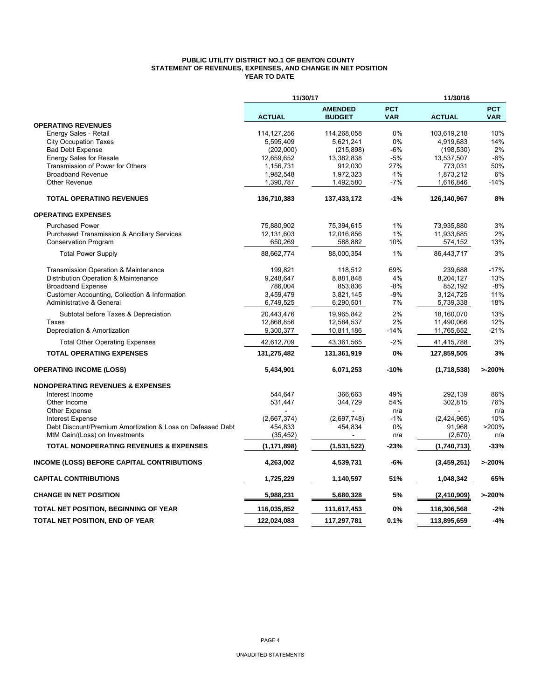#### **PUBLIC UTILITY DISTRICT NO.1 OF BENTON COUNTY STATEMENT OF REVENUES, EXPENSES, AND CHANGE IN NET POSITION YEAR TO DATE**

|                                                            | 11/30/17      |                                 |                          | 11/30/16      |                          |
|------------------------------------------------------------|---------------|---------------------------------|--------------------------|---------------|--------------------------|
|                                                            | <b>ACTUAL</b> | <b>AMENDED</b><br><b>BUDGET</b> | <b>PCT</b><br><b>VAR</b> | <b>ACTUAL</b> | <b>PCT</b><br><b>VAR</b> |
| <b>OPERATING REVENUES</b>                                  |               |                                 |                          |               |                          |
| Energy Sales - Retail                                      | 114, 127, 256 | 114,268,058                     | $0\%$                    | 103,619,218   | 10%                      |
| <b>City Occupation Taxes</b>                               | 5,595,409     | 5,621,241                       | 0%                       | 4,919,683     | 14%                      |
| <b>Bad Debt Expense</b>                                    | (202,000)     | (215, 898)                      | -6%                      | (198, 530)    | 2%                       |
| <b>Energy Sales for Resale</b>                             | 12,659,652    | 13,382,838                      | $-5%$                    | 13,537,507    | $-6%$                    |
| Transmission of Power for Others                           | 1,156,731     | 912,030                         | 27%                      | 773,031       | 50%                      |
| <b>Broadband Revenue</b>                                   | 1,982,548     | 1,972,323                       | 1%                       | 1,873,212     | 6%                       |
| Other Revenue                                              | 1,390,787     | 1,492,580                       | $-7%$                    | 1,616,846     | $-14%$                   |
| <b>TOTAL OPERATING REVENUES</b>                            | 136,710,383   | 137,433,172                     | $-1%$                    | 126,140,967   | 8%                       |
| <b>OPERATING EXPENSES</b>                                  |               |                                 |                          |               |                          |
| <b>Purchased Power</b>                                     | 75,880,902    | 75,394,615                      | 1%                       | 73,935,880    | 3%                       |
| <b>Purchased Transmission &amp; Ancillary Services</b>     | 12,131,603    | 12,016,856                      | 1%                       | 11,933,685    | 2%                       |
| <b>Conservation Program</b>                                | 650,269       | 588,882                         | 10%                      | 574,152       | 13%                      |
| <b>Total Power Supply</b>                                  | 88,662,774    | 88,000,354                      | 1%                       | 86.443.717    | 3%                       |
| Transmission Operation & Maintenance                       | 199.821       | 118,512                         | 69%                      | 239.688       | $-17%$                   |
| Distribution Operation & Maintenance                       | 9.248.647     | 8,881,848                       | 4%                       | 8.204.127     | 13%                      |
| <b>Broadband Expense</b>                                   | 786,004       | 853,836                         | $-8%$                    | 852,192       | $-8%$                    |
| Customer Accounting, Collection & Information              | 3,459,479     | 3,821,145                       | -9%                      | 3,124,725     | 11%                      |
| Administrative & General                                   | 6,749,525     | 6,290,501                       | 7%                       | 5,739,338     | 18%                      |
| Subtotal before Taxes & Depreciation                       | 20,443,476    | 19,965,842                      | 2%                       | 18,160,070    | 13%                      |
| Taxes                                                      | 12,868,856    | 12,584,537                      | 2%                       | 11,490,066    | 12%                      |
| Depreciation & Amortization                                | 9,300,377     | 10,811,186                      | $-14%$                   | 11,765,652    | $-21%$                   |
| <b>Total Other Operating Expenses</b>                      | 42,612,709    | 43,361,565                      | $-2%$                    | 41,415,788    | 3%                       |
| <b>TOTAL OPERATING EXPENSES</b>                            | 131,275,482   | 131,361,919                     | 0%                       | 127,859,505   | 3%                       |
| <b>OPERATING INCOME (LOSS)</b>                             | 5,434,901     | 6,071,253                       | $-10%$                   | (1,718,538)   | >200%                    |
| <b>NONOPERATING REVENUES &amp; EXPENSES</b>                |               |                                 |                          |               |                          |
| Interest Income                                            | 544.647       | 366,663                         | 49%                      | 292,139       | 86%                      |
| Other Income                                               | 531,447       | 344,729                         | 54%                      | 302,815       | 76%                      |
| Other Expense                                              |               |                                 | n/a                      |               | n/a                      |
| <b>Interest Expense</b>                                    | (2,667,374)   | (2,697,748)                     | $-1%$                    | (2,424,965)   | 10%                      |
| Debt Discount/Premium Amortization & Loss on Defeased Debt | 454,833       | 454,834                         | 0%                       | 91,968        | >200%                    |
| MtM Gain/(Loss) on Investments                             | (35, 452)     |                                 | n/a                      | (2,670)       | n/a                      |
| <b>TOTAL NONOPERATING REVENUES &amp; EXPENSES</b>          | (1, 171, 898) | (1,531,522)                     | -23%                     | (1,740,713)   | $-33%$                   |
| <b>INCOME (LOSS) BEFORE CAPITAL CONTRIBUTIONS</b>          | 4,263,002     | 4,539,731                       | $-6%$                    | (3,459,251)   | >200%                    |
| <b>CAPITAL CONTRIBUTIONS</b>                               | 1,725,229     | 1,140,597                       | 51%                      | 1,048,342     | 65%                      |
| <b>CHANGE IN NET POSITION</b>                              | 5,988,231     | 5,680,328                       | 5%                       | (2,410,909)   | >200%                    |
| TOTAL NET POSITION, BEGINNING OF YEAR                      | 116,035,852   | 111,617,453                     | 0%                       | 116,306,568   | $-2%$                    |
| TOTAL NET POSITION, END OF YEAR                            | 122,024,083   | 117,297,781                     | 0.1%                     | 113,895,659   | $-4%$                    |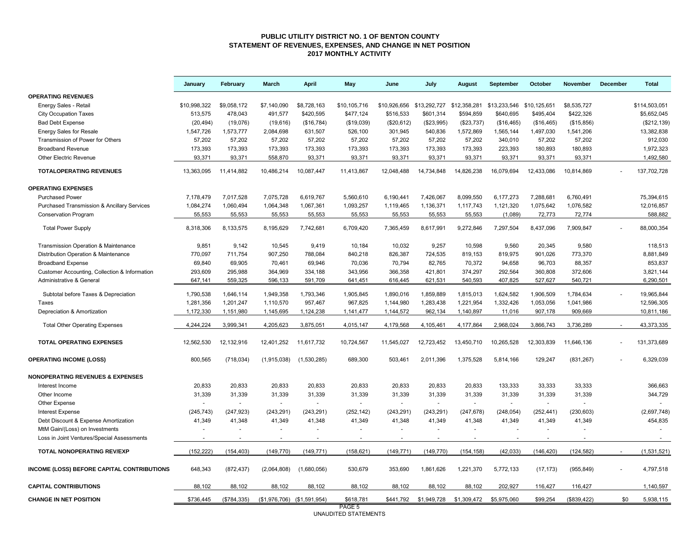#### **PUBLIC UTILITY DISTRICT NO. 1 OF BENTON COUNTY STATEMENT OF REVENUES, EXPENSES, AND CHANGE IN NET POSITION 2017 MONTHLY ACTIVITY**

|                                               | January                        | February     | <b>March</b>                | April       | May          | June         | July         | August       | September    | October        | <b>November</b> | December | <b>Total</b>  |
|-----------------------------------------------|--------------------------------|--------------|-----------------------------|-------------|--------------|--------------|--------------|--------------|--------------|----------------|-----------------|----------|---------------|
| <b>OPERATING REVENUES</b>                     |                                |              |                             |             |              |              |              |              |              |                |                 |          |               |
| Energy Sales - Retail                         | \$10,998,322                   | \$9,058,172  | \$7,140,090                 | \$8,728,163 | \$10,105,716 | \$10,926,656 | \$13,292,727 | \$12,358,281 | \$13,233,546 | \$10,125,651   | \$8,535,727     |          | \$114,503,051 |
| City Occupation Taxes                         | 513,575                        | 478,043      | 491,577                     | \$420,595   | \$477,124    | \$516,533    | \$601,314    | \$594,859    | \$640,695    | \$495,404      | \$422,326       |          | \$5,652,045   |
| <b>Bad Debt Expense</b>                       | (20, 494)                      | (19,076)     | (19, 616)                   | (\$16,784)  | (\$19,039)   | (\$20,612)   | (\$23,995)   | (\$23,737)   | (\$16,465)   | (\$16,465)     | (\$15,856)      |          | (\$212, 139)  |
| <b>Energy Sales for Resale</b>                | 1,547,726                      | 1,573,777    | 2,084,698                   | 631,507     | 526,100      | 301,945      | 540,836      | 1,572,869    | 1,565,144    | 1,497,030      | 1,541,206       |          | 13,382,838    |
| Transmission of Power for Others              | 57,202                         | 57,202       | 57,202                      | 57,202      | 57,202       | 57,202       | 57,202       | 57,202       | 340,010      | 57,202         | 57,202          |          | 912,030       |
| <b>Broadband Revenue</b>                      | 173,393                        | 173,393      | 173,393                     | 173,393     | 173,393      | 173,393      | 173,393      | 173,393      | 223,393      | 180,893        | 180,893         |          | 1,972,323     |
| <b>Other Electric Revenue</b>                 | 93,371                         | 93,371       | 558,870                     | 93,371      | 93,371       | 93,371       | 93,371       | 93,371       | 93,371       | 93,371         | 93,371          |          | 1,492,580     |
| <b>TOTALOPERATING REVENUES</b>                | 13,363,095                     | 11,414,882   | 10,486,214                  | 10,087,447  | 11,413,867   | 12,048,488   | 14,734,848   | 14,826,238   | 16,079,694   | 12,433,086     | 10,814,869      |          | 137,702,728   |
| <b>OPERATING EXPENSES</b>                     |                                |              |                             |             |              |              |              |              |              |                |                 |          |               |
| <b>Purchased Power</b>                        | 7,178,479                      | 7,017,528    | 7,075,728                   | 6,619,767   | 5,560,610    | 6,190,441    | 7,426,067    | 8,099,550    | 6,177,273    | 7,288,681      | 6,760,491       |          | 75,394,615    |
| Purchased Transmission & Ancillary Services   | 1,084,274                      | 1,060,494    | 1,064,348                   | 1,067,361   | 1,093,257    | 1,119,465    | 1,136,371    | 1,117,743    | 1,121,320    | 1,075,642      | 1,076,582       |          | 12,016,857    |
| <b>Conservation Program</b>                   | 55,553                         | 55,553       | 55,553                      | 55,553      | 55,553       | 55,553       | 55,553       | 55,553       | (1,089)      | 72,773         | 72,774          |          | 588,882       |
| <b>Total Power Supply</b>                     | 8,318,306                      | 8,133,575    | 8.195.629                   | 7,742,681   | 6,709,420    | 7.365.459    | 8,617,991    | 9.272.846    | 7.297.504    | 8.437.096      | 7,909,847       |          | 88,000,354    |
| Transmission Operation & Maintenance          | 9,851                          | 9,142        | 10,545                      | 9,419       | 10,184       | 10,032       | 9,257        | 10,598       | 9,560        | 20,345         | 9,580           |          | 118,513       |
| Distribution Operation & Maintenance          | 770,097                        | 711,754      | 907,250                     | 788,084     | 840,218      | 826,387      | 724,535      | 819,153      | 819,975      | 901,026        | 773,370         |          | 8,881,849     |
| <b>Broadband Expense</b>                      | 69,840                         | 69,905       | 70,461                      | 69,946      | 70,036       | 70,794       | 82,765       | 70,372       | 94,658       | 96,703         | 88,357          |          | 853,837       |
| Customer Accounting, Collection & Information | 293,609                        | 295,988      | 364,969                     | 334,188     | 343,956      | 366,358      | 421,801      | 374,297      | 292,564      | 360,808        | 372,606         |          | 3,821,144     |
| Administrative & General                      | 647,141                        | 559,325      | 596,133                     | 591,709     | 641,451      | 616,445      | 621,531      | 540,593      | 407,825      | 527,627        | 540,721         |          | 6,290,501     |
|                                               |                                |              |                             |             |              |              |              |              |              |                |                 |          |               |
| Subtotal before Taxes & Depreciation          | 1,790,538                      | 1,646,114    | 1,949,358                   | 1,793,346   | 1,905,845    | 1,890,016    | 1,859,889    | 1,815,013    | 1,624,582    | 1,906,509      | 1,784,634       |          | 19,965,844    |
| <b>Taxes</b>                                  | 1,281,356                      | 1,201,247    | 1,110,570                   | 957,467     | 967,825      | 1,144,980    | 1,283,438    | 1,221,954    | 1,332,426    | 1,053,056      | 1,041,986       |          | 12,596,305    |
| Depreciation & Amortization                   | 1,172,330                      | 1,151,980    | 1,145,695                   | 1,124,238   | 1,141,477    | 1,144,572    | 962,134      | 1,140,897    | 11,016       | 907,178        | 909,669         |          | 10,811,186    |
| <b>Total Other Operating Expenses</b>         | 4,244,224                      | 3,999,341    | 4,205,623                   | 3,875,051   | 4,015,147    | 4,179,568    | 4,105,461    | 4,177,864    | 2,968,024    | 3,866,743      | 3,736,289       |          | 43,373,335    |
| <b>TOTAL OPERATING EXPENSES</b>               | 12,562,530                     | 12, 132, 916 | 12,401,252                  | 11,617,732  | 10,724,567   | 11,545,027   | 12,723,452   | 13,450,710   | 10,265,528   | 12,303,839     | 11,646,136      |          | 131,373,689   |
| <b>OPERATING INCOME (LOSS)</b>                | 800,565                        | (718, 034)   | (1,915,038)                 | (1,530,285) | 689,300      | 503,461      | 2,011,396    | 1,375,528    | 5,814,166    | 129,247        | (831, 267)      |          | 6,329,039     |
| <b>NONOPERATING REVENUES &amp; EXPENSES</b>   |                                |              |                             |             |              |              |              |              |              |                |                 |          |               |
| Interest Income                               | 20,833                         | 20,833       | 20,833                      | 20,833      | 20,833       | 20,833       | 20,833       | 20,833       | 133,333      | 33,333         | 33,333          |          | 366,663       |
| Other Income                                  | 31,339                         | 31,339       | 31,339                      | 31,339      | 31,339       | 31,339       | 31,339       | 31,339       | 31,339       | 31,339         | 31,339          |          | 344,729       |
| Other Expense                                 |                                | $\sim$       | $\sim$                      | $\sim$      | $\sim$       | $\sim$       | $\sim$       | $\sim$       | $\sim$       | $\overline{a}$ | ÷               |          |               |
| <b>Interest Expense</b>                       | (245, 743)                     | (247, 923)   | (243, 291)                  | (243, 291)  | (252, 142)   | (243, 291)   | (243, 291)   | (247, 678)   | (248, 054)   | (252, 441)     | (230, 603)      |          | (2,697,748)   |
| Debt Discount & Expense Amortization          | 41,349                         | 41,348       | 41,349                      | 41,348      | 41,349       | 41,348       | 41,349       | 41,348       | 41,349       | 41,349         | 41,349          |          | 454,835       |
| MtM Gain/(Loss) on Investments                |                                |              |                             |             |              |              |              |              |              |                |                 |          |               |
| Loss in Joint Ventures/Special Assessments    |                                |              |                             |             |              |              |              |              |              |                |                 |          |               |
| TOTAL NONOPERATING REV/EXP                    | (152, 222)                     | (154, 403)   | (149, 770)                  | (149, 771)  | (158, 621)   | (149, 771)   | (149, 770)   | (154, 158)   | (42, 033)    | (146, 420)     | (124, 582)      |          | (1,531,521)   |
| INCOME (LOSS) BEFORE CAPITAL CONTRIBUTIONS    | 648.343                        | (872, 437)   | (2,064,808)                 | (1,680,056) | 530,679      | 353,690      | 1,861,626    | 1,221,370    | 5.772.133    | (17, 173)      | (955, 849)      |          | 4,797,518     |
| <b>CAPITAL CONTRIBUTIONS</b>                  | 88,102                         | 88,102       | 88,102                      | 88,102      | 88,102       | 88,102       | 88,102       | 88,102       | 202,927      | 116,427        | 116,427         |          | 1,140,597     |
| <b>CHANGE IN NET POSITION</b>                 | \$736,445                      | (\$784,335)  | (\$1,976,706) (\$1,591,954) |             | \$618,781    | \$441,792    | \$1,949,728  | \$1,309,472  | \$5,975,060  | \$99,254       | (\$839,422)     | \$0      | 5,938,115     |
|                                               | PAGE 5<br>UNAUDITED STATEMENTS |              |                             |             |              |              |              |              |              |                |                 |          |               |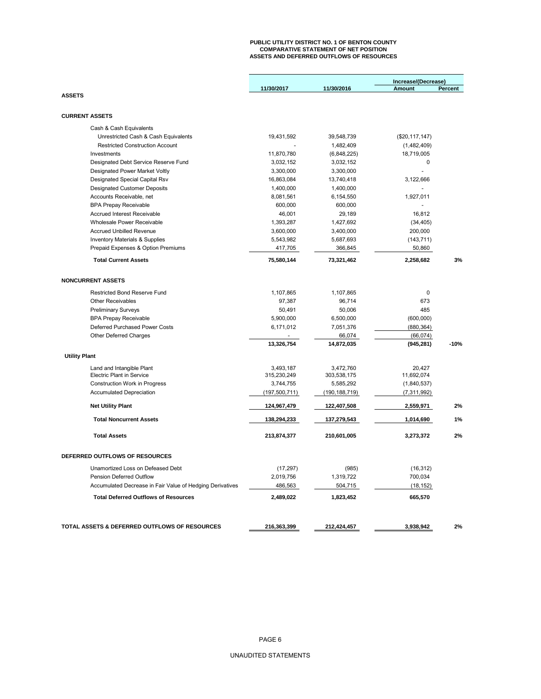# **PUBLIC UTILITY DISTRICT NO. 1 OF BENTON COUNTY COMPARATIVE STATEMENT OF NET POSITION ASSETS AND DEFERRED OUTFLOWS OF RESOURCES**

|                                                           |                 |                 | Increase/(Decrease) |         |
|-----------------------------------------------------------|-----------------|-----------------|---------------------|---------|
| <b>ASSETS</b>                                             | 11/30/2017      | 11/30/2016      | Amount              | Percent |
|                                                           |                 |                 |                     |         |
| <b>CURRENT ASSETS</b>                                     |                 |                 |                     |         |
|                                                           |                 |                 |                     |         |
| Cash & Cash Equivalents                                   |                 |                 |                     |         |
| Unrestricted Cash & Cash Equivalents                      | 19,431,592      | 39,548,739      | (\$20, 117, 147)    |         |
| <b>Restricted Construction Account</b>                    |                 | 1,482,409       | (1,482,409)         |         |
| Investments                                               | 11,870,780      | (6,848,225)     | 18,719,005          |         |
| Designated Debt Service Reserve Fund                      | 3,032,152       | 3,032,152       | 0                   |         |
| <b>Designated Power Market Voltly</b>                     | 3,300,000       | 3,300,000       |                     |         |
| Designated Special Capital Rsv                            | 16,863,084      | 13,740,418      | 3,122,666           |         |
| <b>Designated Customer Deposits</b>                       | 1,400,000       | 1,400,000       | $\overline{a}$      |         |
| Accounts Receivable, net                                  | 8,081,561       | 6,154,550       | 1,927,011           |         |
| <b>BPA Prepay Receivable</b>                              | 600,000         | 600,000         | $\overline{a}$      |         |
| Accrued Interest Receivable                               | 46,001          | 29,189          | 16,812              |         |
| Wholesale Power Receivable                                | 1,393,287       | 1,427,692       | (34, 405)           |         |
| Accrued Unbilled Revenue                                  | 3,600,000       | 3,400,000       | 200,000             |         |
| <b>Inventory Materials &amp; Supplies</b>                 | 5,543,982       | 5,687,693       | (143, 711)          |         |
| Prepaid Expenses & Option Premiums                        | 417,705         | 366,845         | 50,860              |         |
| <b>Total Current Assets</b>                               | 75,580,144      | 73,321,462      | 2,258,682           | 3%      |
| <b>NONCURRENT ASSETS</b>                                  |                 |                 |                     |         |
|                                                           |                 |                 |                     |         |
| <b>Restricted Bond Reserve Fund</b>                       | 1,107,865       | 1,107,865       | 0                   |         |
| Other Receivables                                         | 97,387          | 96,714          | 673                 |         |
| <b>Preliminary Surveys</b>                                | 50,491          | 50,006          | 485                 |         |
| <b>BPA Prepay Receivable</b>                              | 5,900,000       | 6,500,000       | (600,000)           |         |
| Deferred Purchased Power Costs                            | 6,171,012       | 7,051,376       | (880, 364)          |         |
| <b>Other Deferred Charges</b>                             |                 | 66,074          | (66, 074)           |         |
|                                                           | 13,326,754      | 14,872,035      | (945, 281)          | $-10%$  |
| <b>Utility Plant</b>                                      |                 |                 |                     |         |
| Land and Intangible Plant                                 | 3,493,187       | 3,472,760       | 20.427              |         |
| <b>Electric Plant in Service</b>                          | 315,230,249     | 303,538,175     | 11,692,074          |         |
| Construction Work in Progress                             | 3,744,755       | 5,585,292       | (1,840,537)         |         |
| <b>Accumulated Depreciation</b>                           | (197, 500, 711) | (190, 188, 719) | (7,311,992)         |         |
| <b>Net Utility Plant</b>                                  | 124,967,479     | 122,407,508     | 2,559,971           | 2%      |
| <b>Total Noncurrent Assets</b>                            | 138,294,233     | 137,279,543     | 1,014,690           | 1%      |
| <b>Total Assets</b>                                       | 213,874,377     | 210,601,005     | 3,273,372           | 2%      |
| DEFERRED OUTFLOWS OF RESOURCES                            |                 |                 |                     |         |
| Unamortized Loss on Defeased Debt                         |                 |                 |                     |         |
|                                                           | (17, 297)       | (985)           | (16, 312)           |         |
| Pension Deferred Outflow                                  | 2,019,756       | 1,319,722       | 700,034             |         |
| Accumulated Decrease in Fair Value of Hedging Derivatives | 486,563         | 504,715         | (18, 152)           |         |
| <b>Total Deferred Outflows of Resources</b>               | 2,489,022       | 1,823,452       | 665,570             |         |
|                                                           |                 |                 |                     |         |
| TOTAL ASSETS & DEFERRED OUTFLOWS OF RESOURCES             | 216,363,399     | 212,424,457     | 3,938,942           | 2%      |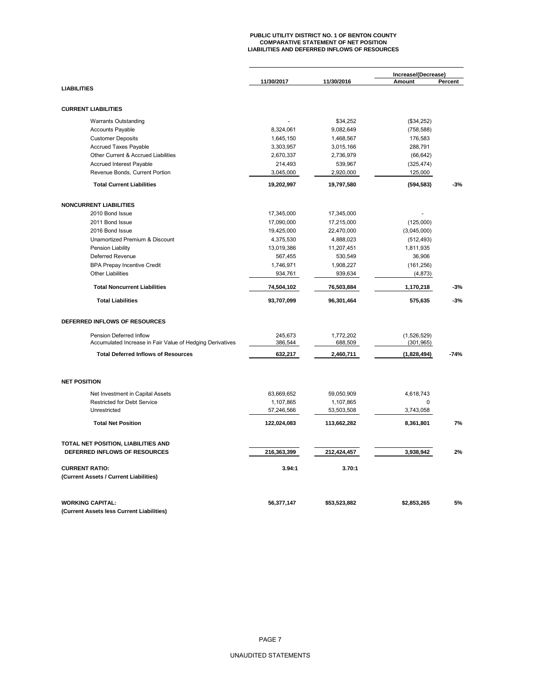# **PUBLIC UTILITY DISTRICT NO. 1 OF BENTON COUNTY COMPARATIVE STATEMENT OF NET POSITION LIABILITIES AND DEFERRED INFLOWS OF RESOURCES**

|                                                           | 11/30/2017  | 11/30/2016   | Increase/(Decrease)<br>Amount | Percent |
|-----------------------------------------------------------|-------------|--------------|-------------------------------|---------|
| <b>LIABILITIES</b>                                        |             |              |                               |         |
| <b>CURRENT LIABILITIES</b>                                |             |              |                               |         |
| <b>Warrants Outstanding</b>                               |             | \$34,252     | (\$34,252)                    |         |
| <b>Accounts Payable</b>                                   | 8,324,061   | 9,082,649    | (758, 588)                    |         |
| <b>Customer Deposits</b>                                  | 1,645,150   | 1,468,567    | 176,583                       |         |
| <b>Accrued Taxes Payable</b>                              | 3,303,957   | 3,015,166    | 288,791                       |         |
| Other Current & Accrued Liabilities                       | 2,670,337   | 2,736,979    | (66, 642)                     |         |
| Accrued Interest Payable                                  | 214,493     | 539,967      | (325, 474)                    |         |
| Revenue Bonds, Current Portion                            | 3,045,000   | 2,920,000    | 125,000                       |         |
| <b>Total Current Liabilities</b>                          | 19,202,997  | 19,797,580   | (594, 583)                    | $-3%$   |
| <b>NONCURRENT LIABILITIES</b>                             |             |              |                               |         |
| 2010 Bond Issue                                           | 17,345,000  | 17,345,000   |                               |         |
| 2011 Bond Issue                                           | 17,090,000  | 17,215,000   | (125,000)                     |         |
| 2016 Bond Issue                                           | 19,425,000  | 22,470,000   | (3,045,000)                   |         |
| Unamortized Premium & Discount                            | 4,375,530   | 4,888,023    | (512, 493)                    |         |
| Pension Liability                                         | 13,019,386  | 11,207,451   | 1,811,935                     |         |
| Deferred Revenue                                          | 567,455     | 530,549      | 36,906                        |         |
| <b>BPA Prepay Incentive Credit</b>                        | 1,746,971   | 1,908,227    | (161, 256)                    |         |
| <b>Other Liabilities</b>                                  | 934,761     | 939,634      | (4, 873)                      |         |
| <b>Total Noncurrent Liabilities</b>                       |             |              |                               | $-3%$   |
|                                                           | 74,504,102  | 76,503,884   | 1,170,218                     |         |
| <b>Total Liabilities</b>                                  | 93,707,099  | 96,301,464   | 575,635                       | $-3%$   |
| DEFERRED INFLOWS OF RESOURCES                             |             |              |                               |         |
| Pension Deferred Inflow                                   | 245.673     | 1,772,202    | (1,526,529)                   |         |
| Accumulated Increase in Fair Value of Hedging Derivatives | 386,544     | 688,509      | (301, 965)                    |         |
| <b>Total Deferred Inflows of Resources</b>                | 632,217     | 2,460,711    | (1,828,494)                   | $-74%$  |
| <b>NET POSITION</b>                                       |             |              |                               |         |
| Net Investment in Capital Assets                          | 63,669,652  | 59,050,909   | 4,618,743                     |         |
| <b>Restricted for Debt Service</b>                        | 1,107,865   | 1,107,865    | 0                             |         |
| Unrestricted                                              | 57,246,566  | 53,503,508   | 3,743,058                     |         |
| <b>Total Net Position</b>                                 | 122,024,083 | 113,662,282  | 8,361,801                     | 7%      |
| TOTAL NET POSITION, LIABILITIES AND                       |             |              |                               |         |
| DEFERRED INFLOWS OF RESOURCES                             | 216,363,399 | 212,424,457  | 3,938,942                     | 2%      |
| <b>CURRENT RATIO:</b>                                     | 3.94:1      | 3.70:1       |                               |         |
| (Current Assets / Current Liabilities)                    |             |              |                               |         |
| <b>WORKING CAPITAL:</b>                                   | 56,377,147  | \$53,523,882 | \$2,853,265                   | 5%      |
| (Current Assets less Current Liabilities)                 |             |              |                               |         |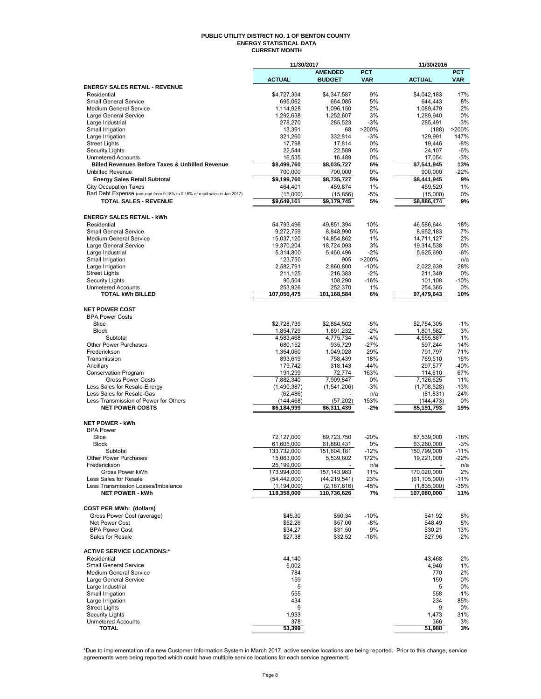#### **PUBLIC UTILITY DISTRICT NO. 1 OF BENTON COUNTY ENERGY STATISTICAL DATA CURRENT MONTH**

|                                                                                       | 11/30/2017                    |                                 |                 | 11/30/2016                    |               |
|---------------------------------------------------------------------------------------|-------------------------------|---------------------------------|-----------------|-------------------------------|---------------|
|                                                                                       |                               | <b>AMENDED</b>                  | <b>PCT</b>      |                               | <b>PCT</b>    |
|                                                                                       | <b>ACTUAL</b>                 | <b>BUDGET</b>                   | <b>VAR</b>      | <b>ACTUAL</b>                 | <b>VAR</b>    |
| <b>ENERGY SALES RETAIL - REVENUE</b><br>Residential                                   |                               |                                 | 9%              |                               | 17%           |
| <b>Small General Service</b>                                                          | \$4,727,334<br>695,062        | \$4,347,587<br>664,085          | 5%              | \$4,042,183<br>644,443        | 8%            |
| <b>Medium General Service</b>                                                         | 1,114,928                     | 1,096,150                       | 2%              | 1,089,479                     | 2%            |
| Large General Service                                                                 | 1,292,638                     | 1,252,607                       | 3%              | 1,289,940                     | 0%            |
| Large Industrial                                                                      | 278,270                       | 285,523                         | $-3%$           | 285,491                       | $-3%$         |
| Small Irrigation                                                                      | 13,391                        | 68                              | >200%           | (188)                         | >200%         |
| Large Irrigation                                                                      | 321,260                       | 332,814                         | $-3%$           | 129,991                       | 147%          |
| <b>Street Lights</b>                                                                  | 17,798                        | 17,814                          | 0%              | 19,446                        | $-8%$         |
| <b>Security Lights</b>                                                                | 22,544                        | 22,589                          | 0%              | 24,107                        | $-6%$         |
| <b>Unmetered Accounts</b>                                                             | 16,535                        | 16,489                          | 0%              | 17,054                        | $-3%$         |
| <b>Billed Revenues Before Taxes &amp; Unbilled Revenue</b><br><b>Unbilled Revenue</b> | \$8,499,760                   | \$8,035,727                     | 6%              | \$7,541,945                   | 13%<br>$-22%$ |
|                                                                                       | 700,000<br>\$9,199,760        | 700,000<br>\$8,735,727          | 0%<br>5%        | 900,000<br>\$8,441,945        | 9%            |
| <b>Energy Sales Retail Subtotal</b><br><b>City Occupation Taxes</b>                   | 464,401                       | 459.874                         | 1%              | 459,529                       | 1%            |
| Bad Debt Expense (reduced from 0.18% to 0.16% of retail sales in Jan 2017)            | (15,000)                      | (15, 856)                       | $-5%$           | (15,000)                      | 0%            |
| <b>TOTAL SALES - REVENUE</b>                                                          | $\overline{59,649,161}$       | \$9,179,745                     | 5%              | \$8,886,474                   | 9%            |
|                                                                                       |                               |                                 |                 |                               |               |
| <b>ENERGY SALES RETAIL - kWh</b>                                                      |                               |                                 |                 |                               |               |
| Residential                                                                           | 54,793,496                    | 49,851,394                      | 10%             | 46,586,644                    | 18%           |
| <b>Small General Service</b>                                                          | 9,272,759                     | 8,848,990                       | 5%              | 8,652,183                     | 7%            |
| Medium General Service                                                                | 15,037,120                    | 14,854,862                      | 1%              | 14,711,127                    | 2%            |
| Large General Service                                                                 | 19,370,204                    | 18,724,093                      | 3%              | 19,314,538                    | 0%            |
| Large Industrial                                                                      | 5,314,800                     | 5,450,496                       | $-2%$           | 5,625,690                     | $-6%$         |
| Small Irrigation                                                                      | 123,750                       | 905                             | >200%           |                               | n/a           |
| Large Irrigation<br><b>Street Lights</b>                                              | 2,582,791<br>211,125          | 2,860,800<br>216,383            | $-10%$<br>$-2%$ | 2,022,639<br>211,349          | 28%<br>0%     |
| <b>Security Lights</b>                                                                | 90,504                        | 108,290                         | $-16%$          | 101,108                       | $-10%$        |
| <b>Unmetered Accounts</b>                                                             | 253,926                       | 252,370                         | 1%              | 254,365                       | 0%            |
| <b>TOTAL kWh BILLED</b>                                                               | 107,050,475                   | 101,168,584                     | 6%              | 97,479,643                    | 10%           |
|                                                                                       |                               |                                 |                 |                               |               |
| <b>NET POWER COST</b>                                                                 |                               |                                 |                 |                               |               |
| <b>BPA Power Costs</b>                                                                |                               |                                 |                 |                               |               |
| Slice                                                                                 | \$2,728,739                   | \$2,884,502                     | $-5%$           | \$2,754,305                   | $-1%$         |
| <b>Block</b><br>Subtotal                                                              | 1,854,729<br>4,583,468        | 1,891,232<br>4,775,734          | $-2%$<br>$-4%$  | 1,801,582<br>4,555,887        | 3%<br>1%      |
| Other Power Purchases                                                                 | 680,152                       | 935,729                         | $-27%$          | 597,244                       | 14%           |
| Frederickson                                                                          | 1,354,060                     | 1,049,028                       | 29%             | 791,797                       | 71%           |
| Transmission                                                                          | 893,619                       | 758,439                         | 18%             | 769,510                       | 16%           |
| Ancillary                                                                             | 179,742                       | 318,143                         | $-44%$          | 297,577                       | $-40%$        |
| <b>Conservation Program</b>                                                           | 191,299                       | 72,774                          | 163%            | 114,610                       | 67%           |
| <b>Gross Power Costs</b>                                                              | 7,882,340                     | 7,909,847                       | 0%              | 7,126,625                     | 11%           |
| Less Sales for Resale-Energy                                                          | (1,490,387)                   | (1,541,206)                     | $-3%$           | (1,708,528)                   | $-13%$        |
| Less Sales for Resale-Gas                                                             | (62, 486)                     |                                 | n/a             | (81, 831)                     | $-24%$        |
| Less Transmission of Power for Others<br><b>NET POWER COSTS</b>                       | (144, 468)                    | (57, 202)                       | 153%            | (144, 473)                    | 0%            |
|                                                                                       | \$6,184,999                   | \$6,311,439                     | $-2%$           | \$5,191,793                   | 19%           |
| <b>NET POWER - kWh</b>                                                                |                               |                                 |                 |                               |               |
| <b>BPA Power</b>                                                                      |                               |                                 |                 |                               |               |
| Slice                                                                                 | 72,127,000                    | 89,723,750                      | $-20%$          | 87,539,000                    | $-18%$        |
| <b>Block</b>                                                                          | 61,605,000                    | 61,880,431                      | 0%              | 63,260,000                    | $-3%$         |
| Subtotal                                                                              | 133,732,000                   | 151,604,181                     | $-12%$          | 150.799.000                   | $-11%$        |
| <b>Other Power Purchases</b>                                                          | 15,063,000                    | 5,539,802                       | 172%            | 19,221,000                    | 22%           |
| Frederickson                                                                          | 25,199,000                    |                                 | n/a             |                               | n/a           |
| Gross Power kWh<br>Less Sales for Resale                                              | 173,994,000<br>(54, 442, 000) | 157, 143, 983<br>(44, 219, 541) | 11%<br>23%      | 170,020,000<br>(61, 105, 000) | 2%<br>$-11%$  |
| Less Transmission Losses/Imbalance                                                    | (1, 194, 000)                 | (2, 187, 816)                   | -45%            | (1,835,000)                   | -35%          |
| <b>NET POWER - kWh</b>                                                                | 118,358,000                   | 110,736,626                     | 7%              | 107,080,000                   | 11%           |
|                                                                                       |                               |                                 |                 |                               |               |
| <b>COST PER MWh: (dollars)</b>                                                        |                               |                                 |                 |                               |               |
| Gross Power Cost (average)                                                            | \$45.30                       | \$50.34                         | $-10%$          | \$41.92                       | 8%            |
| Net Power Cost                                                                        | \$52.26                       | \$57.00                         | $-8%$           | \$48.49                       | 8%            |
| <b>BPA Power Cost</b><br>Sales for Resale                                             | \$34.27                       | \$31.50                         | 9%              | \$30.21                       | 13%<br>$-2%$  |
|                                                                                       | \$27.38                       | \$32.52                         | $-16%$          | \$27.96                       |               |
| <b>ACTIVE SERVICE LOCATIONS:*</b>                                                     |                               |                                 |                 |                               |               |
| Residential                                                                           | 44,140                        |                                 |                 | 43,468                        | 2%            |
| <b>Small General Service</b>                                                          | 5,002                         |                                 |                 | 4,946                         | 1%            |
| Medium General Service                                                                | 784                           |                                 |                 | 770                           | 2%            |
| Large General Service                                                                 | 159                           |                                 |                 | 159                           | 0%            |
| Large Industrial                                                                      | 5                             |                                 |                 | 5                             | 0%            |
| Small Irrigation                                                                      | 555                           |                                 |                 | 558                           | $-1%$         |
| Large Irrigation                                                                      | 434                           |                                 |                 | 234                           | 85%           |
| <b>Street Lights</b><br><b>Security Lights</b>                                        | 9<br>1,933                    |                                 |                 | 9<br>1,473                    | 0%<br>31%     |
| <b>Unmetered Accounts</b>                                                             | 378                           |                                 |                 | 366                           | 3%            |
| TOTAL                                                                                 | 53,399                        |                                 |                 | 51,988                        | 3%            |

\*Due to implementation of a new Customer Information System in March 2017, active service locations are being reported. Prior to this change, service<br>agreements were being reported which could have multiple service locati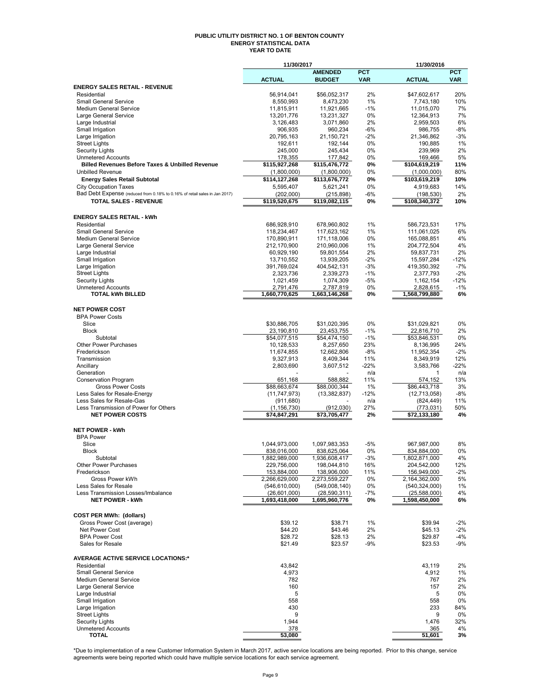#### **PUBLIC UTILITY DISTRICT NO. 1 OF BENTON COUNTY ENERGY STATISTICAL DATA YEAR TO DATE**

|                                                                                                            | 11/30/2017                      |                                 |                          | 11/30/2016                    |                          |
|------------------------------------------------------------------------------------------------------------|---------------------------------|---------------------------------|--------------------------|-------------------------------|--------------------------|
|                                                                                                            | <b>ACTUAL</b>                   | <b>AMENDED</b><br><b>BUDGET</b> | <b>PCT</b><br><b>VAR</b> | <b>ACTUAL</b>                 | <b>PCT</b><br><b>VAR</b> |
| <b>ENERGY SALES RETAIL - REVENUE</b>                                                                       |                                 |                                 |                          |                               |                          |
| Residential                                                                                                | 56,914,041                      | \$56,052,317                    | 2%                       | \$47,602,617                  | 20%                      |
| <b>Small General Service</b>                                                                               | 8,550,993                       | 8,473,230                       | 1%                       | 7,743,180                     | 10%                      |
| <b>Medium General Service</b>                                                                              | 11,815,911                      | 11,921,665                      | $-1%$                    | 11,015,070                    | 7%                       |
| Large General Service                                                                                      | 13,201,776                      | 13,231,327                      | 0%                       | 12,364,913                    | 7%                       |
| Large Industrial                                                                                           | 3,126,483                       | 3,071,860                       | 2%                       | 2,959,503                     | 6%<br>-8%                |
| Small Irrigation<br>Large Irrigation                                                                       | 906,935<br>20,795,163           | 960,234<br>21,150,721           | -6%<br>$-2%$             | 986,755<br>21,346,862         | $-3%$                    |
| <b>Street Lights</b>                                                                                       | 192,611                         | 192,144                         | 0%                       | 190,885                       | $1\%$                    |
| <b>Security Lights</b>                                                                                     | 245,000                         | 245,434                         | 0%                       | 239,969                       | 2%                       |
| <b>Unmetered Accounts</b>                                                                                  | 178,355                         | 177,842                         | 0%                       | 169,466                       | 5%                       |
| <b>Billed Revenues Before Taxes &amp; Unbilled Revenue</b>                                                 | \$115,927,268                   | \$115,476,772                   | 0%                       | \$104,619,219                 | 11%                      |
| <b>Unbilled Revenue</b>                                                                                    | (1,800,000)                     | (1,800,000)                     | 0%                       | (1,000,000)                   | 80%                      |
| <b>Energy Sales Retail Subtotal</b>                                                                        | \$114,127,268                   | \$113,676,772                   | 0%<br>0%                 | \$103,619,219                 | 10%<br>14%               |
| <b>City Occupation Taxes</b><br>Bad Debt Expense (reduced from 0.18% to 0.16% of retail sales in Jan 2017) | 5,595,407<br>(202,000)          | 5,621,241<br>(215, 898)         | -6%                      | 4,919,683<br>(198, 530)       | 2%                       |
| <b>TOTAL SALES - REVENUE</b>                                                                               | \$119,520,675                   | \$119,082,115                   | 0%                       | \$108,340,372                 | 10%                      |
|                                                                                                            |                                 |                                 |                          |                               |                          |
| <b>ENERGY SALES RETAIL - kWh</b><br>Residential                                                            | 686,928,910                     | 678,960,802                     | 1%                       | 586,723,531                   | 17%                      |
| <b>Small General Service</b>                                                                               | 118,234,467                     | 117,623,162                     | 1%                       | 111,061,025                   | 6%                       |
| Medium General Service                                                                                     | 170,890,911                     | 171,118,006                     | 0%                       | 165,088,851                   | 4%                       |
| Large General Service                                                                                      | 212,170,900                     | 210,960,006                     | 1%                       | 204,772,504                   | 4%                       |
| Large Industrial                                                                                           | 60,929,190                      | 59,801,554                      | 2%                       | 59,837,731                    | 2%                       |
| Small Irrigation                                                                                           | 13,710,552                      | 13,939,205                      | $-2%$                    | 15,597,284                    | $-12%$                   |
| Large Irrigation                                                                                           | 391,769,024                     | 404,542,131                     | $-3%$                    | 419,350,392                   | $-7%$                    |
| <b>Street Lights</b><br><b>Security Lights</b>                                                             | 2,323,736<br>1,021,459          | 2,339,273<br>1,074,309          | -1%<br>-5%               | 2,377,793<br>1,162,154        | $-2%$<br>-12%            |
| <b>Unmetered Accounts</b>                                                                                  | 2,791,476                       | 2,787,819                       | 0%                       | 2,828,615                     | $-1%$                    |
| <b>TOTAL kWh BILLED</b>                                                                                    | 1,660,770,625                   | 1,663,146,268                   | 0%                       | 1,568,799,880                 | 6%                       |
| <b>NET POWER COST</b>                                                                                      |                                 |                                 |                          |                               |                          |
| <b>BPA Power Costs</b>                                                                                     |                                 |                                 |                          |                               |                          |
| Slice                                                                                                      | \$30,886,705                    | \$31,020,395                    | 0%                       | \$31,029,821                  | 0%                       |
| <b>Block</b>                                                                                               | 23,190,810                      | 23,453,755                      | $-1%$                    | 22,816,710                    | 2%                       |
| Subtotal                                                                                                   | \$54,077,515                    | \$54,474,150                    | $-1%$                    | \$53,846,531                  | 0%                       |
| <b>Other Power Purchases</b>                                                                               | 10,128,533                      | 8,257,650                       | 23%                      | 8,136,995                     | 24%                      |
| Frederickson                                                                                               | 11,674,855                      | 12,662,806                      | -8%                      | 11,952,354                    | $-2%$                    |
| Transmission<br>Ancillary                                                                                  | 9,327,913<br>2,803,690          | 8,409,344<br>3,607,512          | 11%<br>$-22%$            | 8,349,919<br>3,583,766        | 12%<br>$-22%$            |
| Generation                                                                                                 |                                 |                                 | n/a                      | 1                             | n/a                      |
| <b>Conservation Program</b>                                                                                | 651,168                         | 588,882                         | 11%                      | 574,152                       | 13%                      |
| <b>Gross Power Costs</b>                                                                                   | \$88,663,674                    | \$88,000,344                    | 1%                       | \$86,443,718                  | 3%                       |
| Less Sales for Resale-Energy                                                                               | (11, 747, 973)                  | (13, 382, 837)                  | -12%                     | (12,713,058)                  | -8%                      |
| Less Sales for Resale-Gas                                                                                  | (911, 680)                      |                                 | n/a                      | (824, 449)                    | 11%                      |
| Less Transmission of Power for Others<br><b>NET POWER COSTS</b>                                            | (1, 156, 730)<br>\$74,847,291   | (912,030)<br>\$73,705,477       | 27%<br>2%                | (773, 031)<br>\$72,133,180    | 50%<br>4%                |
|                                                                                                            |                                 |                                 |                          |                               |                          |
| <b>NET POWER - kWh</b>                                                                                     |                                 |                                 |                          |                               |                          |
| <b>BPA Power</b><br>Slice                                                                                  | 1,044,973,000                   |                                 | -5%                      |                               | 8%                       |
| <b>Block</b>                                                                                               | 838,016,000                     | 1,097,983,353<br>838,625,064    | 0%                       | 967,987,000<br>834,884,000    | 0%                       |
| Subtotal                                                                                                   | 1,882,989,000                   | 1,936,608,417                   | $-3%$                    | 1,802,871,000                 | 4%                       |
| Other Power Purchases                                                                                      | 229,756,000                     | 198,044,810                     | 16%                      | 204,542,000                   | 12%                      |
| Frederickson                                                                                               | 153,884,000                     | 138,906,000                     | 11%                      | 156,949,000                   | -2%                      |
| Gross Power kWh                                                                                            | 2,266,629,000                   | 2,273,559,227                   | 0%                       | 2,164,362,000                 | 5%                       |
| Less Sales for Resale                                                                                      | (546, 610, 000)                 | (549,008,140)                   | 0%                       | (540, 324, 000)               | 1%                       |
| Less Transmission Losses/Imbalance<br><b>NET POWER - kWh</b>                                               | (26, 601, 000)<br>1,693,418,000 | (28, 590, 311)<br>1,695,960,776 | -7%<br>0%                | (25,588,000)<br>1,598,450,000 | 4%<br>6%                 |
|                                                                                                            |                                 |                                 |                          |                               |                          |
| <b>COST PER MWh: (dollars)</b>                                                                             |                                 |                                 |                          |                               |                          |
| Gross Power Cost (average)                                                                                 | \$39.12                         | \$38.71                         | 1%                       | \$39.94                       | -2%                      |
| Net Power Cost<br><b>BPA Power Cost</b>                                                                    | \$44.20<br>\$28.72              | \$43.46<br>\$28.13              | 2%<br>2%                 | \$45.13<br>\$29.87            | -2%<br>-4%               |
| Sales for Resale                                                                                           | \$21.49                         | \$23.57                         | -9%                      | \$23.53                       | $-9%$                    |
|                                                                                                            |                                 |                                 |                          |                               |                          |
| <b>AVERAGE ACTIVE SERVICE LOCATIONS:*</b><br>Residential                                                   | 43.842                          |                                 |                          | 43,119                        | 2%                       |
| <b>Small General Service</b>                                                                               | 4,973                           |                                 |                          | 4,912                         | 1%                       |
| Medium General Service                                                                                     | 782                             |                                 |                          | 767                           | 2%                       |
| Large General Service                                                                                      | 160                             |                                 |                          | 157                           | 2%                       |
| Large Industrial                                                                                           | 5                               |                                 |                          | 5                             | 0%                       |
| Small Irrigation                                                                                           | 558<br>430                      |                                 |                          | 558                           | 0%                       |
| Large Irrigation<br><b>Street Lights</b>                                                                   | 9                               |                                 |                          | 233<br>9                      | 84%<br>0%                |
| <b>Security Lights</b>                                                                                     | 1,944                           |                                 |                          | 1,476                         | 32%                      |
| <b>Unmetered Accounts</b>                                                                                  | 378                             |                                 |                          | 365                           | 4%                       |
| <b>TOTAL</b>                                                                                               | 53,080                          |                                 |                          | 51,601                        | 3%                       |

\*Due to implementation of a new Customer Information System in March 2017, active service locations are being reported. Prior to this change, service<br>agreements were being reported which could have multiple service locati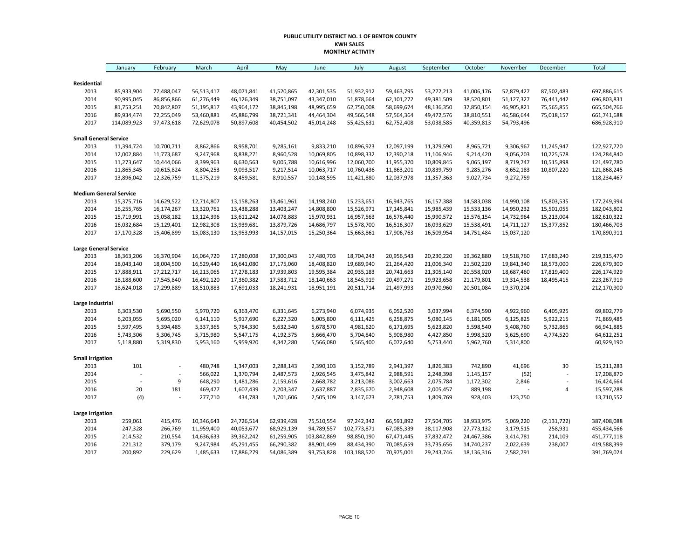#### **PUBLIC UTILITY DISTRICT NO. 1 OF BENTON COUNTY KWH SALES MONTHLY ACTIVITY**

|                               | January     | February       | March      | April      | May        | June        | July        | August     | September  | October    | November   | December                 | Total       |
|-------------------------------|-------------|----------------|------------|------------|------------|-------------|-------------|------------|------------|------------|------------|--------------------------|-------------|
| Residential                   |             |                |            |            |            |             |             |            |            |            |            |                          |             |
| 2013                          | 85,933,904  | 77,488,047     | 56,513,417 | 48,071,841 | 41,520,865 | 42,301,535  | 51,932,912  | 59,463,795 | 53,272,213 | 41,006,176 | 52,879,427 | 87,502,483               | 697,886,615 |
| 2014                          | 90,995,045  | 86,856,866     | 61,276,449 | 46,126,349 | 38,751,097 | 43,347,010  | 51,878,664  | 62,101,272 | 49,381,509 | 38,520,801 | 51,127,327 | 76,441,442               | 696,803,831 |
| 2015                          | 81,753,251  | 70,842,807     | 51,195,817 | 43,964,172 | 38,845,198 | 48,995,659  | 62,750,008  | 58,699,674 | 48,136,350 | 37,850,154 | 46,905,821 | 75,565,855               | 665,504,766 |
| 2016                          | 89,934,474  | 72,255,049     | 53,460,881 | 45,886,799 | 38,721,341 | 44,464,304  | 49,566,548  | 57,564,364 | 49,472,576 | 38,810,551 | 46,586,644 | 75,018,157               | 661,741,688 |
| 2017                          | 114,089,923 | 97,473,618     | 72,629,078 | 50,897,608 | 40,454,502 | 45,014,248  | 55,425,631  | 62,752,408 | 53,038,585 | 40,359,813 | 54,793,496 |                          | 686,928,910 |
| <b>Small General Service</b>  |             |                |            |            |            |             |             |            |            |            |            |                          |             |
| 2013                          | 11,394,724  | 10,700,711     | 8,862,866  | 8,958,701  | 9,285,161  | 9,833,210   | 10,896,923  | 12,097,199 | 11,379,590 | 8,965,721  | 9,306,967  | 11,245,947               | 122,927,720 |
| 2014                          | 12,002,884  | 11,773,687     | 9,247,968  | 8,838,271  | 8,960,528  | 10,069,805  | 10,898,332  | 12,390,218 | 11,106,946 | 9,214,420  | 9,056,203  | 10,725,578               | 124,284,840 |
| 2015                          | 11,273,647  | 10,444,066     | 8,399,963  | 8,630,563  | 9,005,788  | 10,616,996  | 12,060,700  | 11,955,370 | 10,809,845 | 9,065,197  | 8,719,747  | 10,515,898               | 121,497,780 |
| 2016                          | 11,865,345  | 10,615,824     | 8,804,253  | 9,093,517  | 9,217,514  | 10,063,717  | 10,760,436  | 11,863,201 | 10,839,759 | 9,285,276  | 8,652,183  | 10,807,220               | 121,868,245 |
| 2017                          | 13,896,042  | 12,326,759     | 11,375,219 | 8,459,581  | 8,910,557  | 10,148,595  | 11,421,880  | 12,037,978 | 11,357,363 | 9,027,734  | 9,272,759  |                          | 118,234,467 |
| <b>Medium General Service</b> |             |                |            |            |            |             |             |            |            |            |            |                          |             |
| 2013                          | 15,375,716  | 14,629,522     | 12,714,807 | 13,158,263 | 13,461,961 | 14,198,240  | 15,233,651  | 16,943,765 | 16,157,388 | 14,583,038 | 14,990,108 | 15,803,535               | 177,249,994 |
| 2014                          | 16,255,765  | 16,174,267     | 13,320,761 | 13,438,288 | 13,403,247 | 14,808,800  | 15,526,971  | 17,145,841 | 15,985,439 | 15,533,136 | 14,950,232 | 15,501,055               | 182,043,802 |
| 2015                          | 15,719,991  | 15,058,182     | 13,124,396 | 13,611,242 | 14,078,883 | 15,970,931  | 16,957,563  | 16,576,440 | 15,990,572 | 15,576,154 | 14,732,964 | 15,213,004               | 182,610,322 |
| 2016                          | 16,032,684  | 15,129,401     | 12,982,308 | 13,939,681 | 13,879,726 | 14,686,797  | 15,578,700  | 16,516,307 | 16,093,629 | 15,538,491 | 14,711,127 | 15,377,852               | 180,466,703 |
| 2017                          | 17,170,328  | 15,406,899     | 15,083,130 | 13,953,993 | 14,157,015 | 15,250,364  | 15,663,861  | 17,906,763 | 16,509,954 | 14,751,484 | 15,037,120 |                          | 170,890,911 |
| <b>Large General Service</b>  |             |                |            |            |            |             |             |            |            |            |            |                          |             |
| 2013                          | 18,363,206  | 16,370,904     | 16,064,720 | 17,280,008 | 17,300,043 | 17,480,703  | 18,704,243  | 20,956,543 | 20,230,220 | 19,362,880 | 19,518,760 | 17,683,240               | 219,315,470 |
| 2014                          | 18,043,140  | 18,004,500     | 16,529,440 | 16,641,080 | 17,175,060 | 18,408,820  | 19,689,940  | 21,264,420 | 21,006,340 | 21,502,220 | 19,841,340 | 18,573,000               | 226,679,300 |
| 2015                          | 17,888,911  | 17,212,717     | 16,213,065 | 17,278,183 | 17,939,803 | 19,595,384  | 20,935,183  | 20,741,663 | 21,305,140 | 20,558,020 | 18,687,460 | 17,819,400               | 226,174,929 |
| 2016                          | 18,188,600  | 17,545,840     | 16,492,120 | 17,360,382 | 17,583,712 | 18,140,663  | 18,545,919  | 20,497,271 | 19,923,658 | 21,179,801 | 19,314,538 | 18,495,415               | 223,267,919 |
| 2017                          | 18,624,018  | 17,299,889     | 18,510,883 | 17,691,033 | 18,241,931 | 18,951,191  | 20,511,714  | 21,497,993 | 20,970,960 | 20,501,084 | 19,370,204 |                          | 212,170,900 |
| Large Industrial              |             |                |            |            |            |             |             |            |            |            |            |                          |             |
| 2013                          | 6,303,530   | 5,690,550      | 5,970,720  | 6,363,470  | 6,331,645  | 6,273,940   | 6,074,935   | 6,052,520  | 3,037,994  | 6,374,590  | 4,922,960  | 6,405,925                | 69,802,779  |
| 2014                          | 6,203,055   | 5,695,020      | 6,141,110  | 5,917,690  | 6,227,320  | 6,005,800   | 6,111,425   | 6,258,875  | 5,080,145  | 6,181,005  | 6,125,825  | 5,922,215                | 71,869,485  |
| 2015                          | 5,597,495   | 5,394,485      | 5,337,365  | 5,784,330  | 5,632,340  | 5,678,570   | 4,981,620   | 6,171,695  | 5,623,820  | 5,598,540  | 5,408,760  | 5,732,865                | 66,941,885  |
| 2016                          | 5,743,306   | 5,306,745      | 5,715,980  | 5,547,175  | 4,192,375  | 5,666,470   | 5,704,840   | 5,908,980  | 4,427,850  | 5,998,320  | 5,625,690  | 4,774,520                | 64,612,251  |
| 2017                          | 5,118,880   | 5,319,830      | 5,953,160  | 5,959,920  | 4,342,280  | 5,566,080   | 5,565,400   | 6,072,640  | 5,753,440  | 5,962,760  | 5,314,800  |                          | 60,929,190  |
| <b>Small Irrigation</b>       |             |                |            |            |            |             |             |            |            |            |            |                          |             |
| 2013                          | 101         | $\overline{a}$ | 480,748    | 1,347,003  | 2,288,143  | 2,390,103   | 3,152,789   | 2,941,397  | 1,826,383  | 742,890    | 41,696     | 30                       | 15,211,283  |
| 2014                          |             |                | 566,022    | 1,370,794  | 2,487,573  | 2,926,545   | 3,475,842   | 2,988,591  | 2,248,398  | 1,145,157  | (52)       | L,                       | 17,208,870  |
| 2015                          |             | 9              | 648,290    | 1,481,286  | 2,159,616  | 2,668,782   | 3,213,086   | 3,002,663  | 2,075,784  | 1,172,302  | 2,846      | $\overline{\phantom{a}}$ | 16,424,664  |
| 2016                          | 20          | 181            | 469,477    | 1,607,439  | 2,203,347  | 2,637,887   | 2,835,670   | 2,948,608  | 2,005,457  | 889,198    |            | 4                        | 15,597,288  |
| 2017                          | (4)         |                | 277,710    | 434,783    | 1,701,606  | 2,505,109   | 3,147,673   | 2,781,753  | 1,809,769  | 928,403    | 123,750    |                          | 13,710,552  |
| <b>Large Irrigation</b>       |             |                |            |            |            |             |             |            |            |            |            |                          |             |
| 2013                          | 259,061     | 415,476        | 10,346,643 | 24,726,514 | 62,939,428 | 75,510,554  | 97,242,342  | 66,591,892 | 27,504,705 | 18,933,975 | 5,069,220  | (2, 131, 722)            | 387,408,088 |
| 2014                          | 247,328     | 266,769        | 11,959,400 | 40,053,677 | 68,929,139 | 94,789,557  | 102,773,871 | 67,085,339 | 38,117,908 | 27,773,132 | 3,179,515  | 258,931                  | 455,434,566 |
| 2015                          | 214,532     | 210,554        | 14,636,633 | 39,362,242 | 61,259,905 | 103,842,869 | 98,850,190  | 67,471,445 | 37,832,472 | 24,467,386 | 3,414,781  | 214,109                  | 451,777,118 |
| 2016                          | 221,312     | 379,179        | 9,247,984  | 45,291,455 | 66,290,382 | 88,901,499  | 88,434,390  | 70,085,659 | 33,735,656 | 14,740,237 | 2,022,639  | 238,007                  | 419,588,399 |
| 2017                          | 200,892     | 229,629        | 1,485,633  | 17,886,279 | 54,086,389 | 93,753,828  | 103,188,520 | 70,975,001 | 29,243,746 | 18,136,316 | 2,582,791  |                          | 391,769,024 |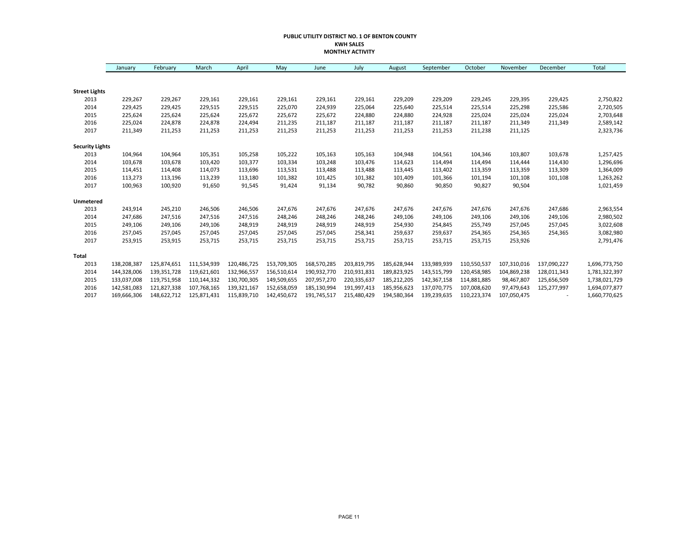#### **PUBLIC UTILITY DISTRICT NO. 1 OF BENTON COUNTY KWH SALES MONTHLY ACTIVITY**

|                        | January     | February    | March       | April       | May         | June        | July        | August      | September   | October     | November    | December    | Total         |
|------------------------|-------------|-------------|-------------|-------------|-------------|-------------|-------------|-------------|-------------|-------------|-------------|-------------|---------------|
|                        |             |             |             |             |             |             |             |             |             |             |             |             |               |
| <b>Street Lights</b>   |             |             |             |             |             |             |             |             |             |             |             |             |               |
| 2013                   | 229,267     | 229,267     | 229,161     | 229,161     | 229,161     | 229,161     | 229,161     | 229,209     | 229,209     | 229,245     | 229,395     | 229,425     | 2,750,822     |
| 2014                   | 229,425     | 229,425     | 229,515     | 229,515     | 225,070     | 224,939     | 225,064     | 225,640     | 225,514     | 225,514     | 225,298     | 225,586     | 2,720,505     |
| 2015                   | 225,624     | 225,624     | 225,624     | 225,672     | 225,672     | 225,672     | 224,880     | 224,880     | 224,928     | 225,024     | 225,024     | 225,024     | 2,703,648     |
| 2016                   | 225,024     | 224,878     | 224,878     | 224,494     | 211,235     | 211,187     | 211,187     | 211,187     | 211,187     | 211,187     | 211,349     | 211,349     | 2,589,142     |
| 2017                   | 211,349     | 211,253     | 211,253     | 211,253     | 211,253     | 211,253     | 211,253     | 211,253     | 211,253     | 211,238     | 211,125     |             | 2,323,736     |
| <b>Security Lights</b> |             |             |             |             |             |             |             |             |             |             |             |             |               |
| 2013                   | 104,964     | 104,964     | 105,351     | 105,258     | 105,222     | 105,163     | 105,163     | 104,948     | 104,561     | 104,346     | 103,807     | 103,678     | 1,257,425     |
| 2014                   | 103,678     | 103,678     | 103,420     | 103,377     | 103,334     | 103,248     | 103,476     | 114,623     | 114,494     | 114,494     | 114,444     | 114,430     | 1,296,696     |
| 2015                   | 114,451     | 114,408     | 114,073     | 113,696     | 113,531     | 113,488     | 113,488     | 113,445     | 113,402     | 113,359     | 113,359     | 113,309     | 1,364,009     |
| 2016                   | 113,273     | 113,196     | 113,239     | 113,180     | 101,382     | 101,425     | 101,382     | 101,409     | 101,366     | 101,194     | 101,108     | 101,108     | 1,263,262     |
| 2017                   | 100,963     | 100,920     | 91,650      | 91,545      | 91,424      | 91,134      | 90,782      | 90,860      | 90,850      | 90,827      | 90,504      |             | 1,021,459     |
| Unmetered              |             |             |             |             |             |             |             |             |             |             |             |             |               |
| 2013                   | 243,914     | 245,210     | 246,506     | 246,506     | 247,676     | 247,676     | 247,676     | 247,676     | 247,676     | 247,676     | 247,676     | 247,686     | 2,963,554     |
| 2014                   | 247,686     | 247,516     | 247,516     | 247,516     | 248,246     | 248,246     | 248,246     | 249,106     | 249,106     | 249,106     | 249,106     | 249,106     | 2,980,502     |
| 2015                   | 249,106     | 249,106     | 249,106     | 248,919     | 248,919     | 248,919     | 248,919     | 254,930     | 254,845     | 255,749     | 257,045     | 257,045     | 3,022,608     |
| 2016                   | 257,045     | 257,045     | 257,045     | 257,045     | 257,045     | 257,045     | 258,341     | 259,637     | 259,637     | 254,365     | 254,365     | 254,365     | 3,082,980     |
| 2017                   | 253,915     | 253,915     | 253,715     | 253,715     | 253,715     | 253,715     | 253,715     | 253,715     | 253,715     | 253,715     | 253,926     |             | 2,791,476     |
| Total                  |             |             |             |             |             |             |             |             |             |             |             |             |               |
| 2013                   | 138,208,387 | 125,874,651 | 111,534,939 | 120,486,725 | 153,709,305 | 168,570,285 | 203,819,795 | 185,628,944 | 133,989,939 | 110,550,537 | 107,310,016 | 137,090,227 | 1,696,773,750 |
| 2014                   | 144,328,006 | 139,351,728 | 119,621,601 | 132,966,557 | 156,510,614 | 190,932,770 | 210,931,831 | 189,823,925 | 143,515,799 | 120,458,985 | 104,869,238 | 128,011,343 | 1,781,322,397 |
| 2015                   | 133,037,008 | 119,751,958 | 110,144,332 | 130,700,305 | 149,509,655 | 207,957,270 | 220,335,637 | 185,212,205 | 142,367,158 | 114,881,885 | 98,467,807  | 125,656,509 | 1,738,021,729 |
| 2016                   | 142,581,083 | 121,827,338 | 107,768,165 | 139,321,167 | 152,658,059 | 185,130,994 | 191,997,413 | 185,956,623 | 137,070,775 | 107,008,620 | 97,479,643  | 125,277,997 | 1,694,077,877 |
| 2017                   | 169,666,306 | 148,622,712 | 125,871,431 | 115,839,710 | 142,450,672 | 191,745,517 | 215,480,429 | 194,580,364 | 139,239,635 | 110,223,374 | 107,050,475 |             | 1,660,770,625 |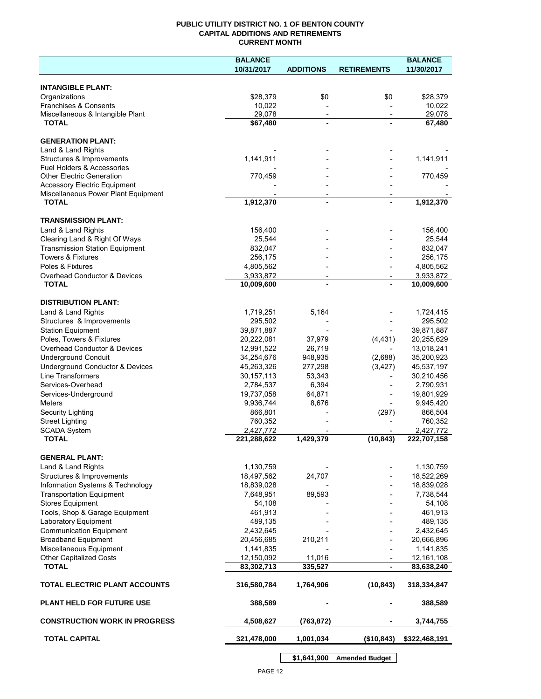## **PUBLIC UTILITY DISTRICT NO. 1 OF BENTON COUNTY CAPITAL ADDITIONS AND RETIREMENTS CURRENT MONTH**

|                                                | <b>BALANCE</b> |                          |                          | <b>BALANCE</b> |
|------------------------------------------------|----------------|--------------------------|--------------------------|----------------|
|                                                | 10/31/2017     | <b>ADDITIONS</b>         | <b>RETIREMENTS</b>       | 11/30/2017     |
|                                                |                |                          |                          |                |
| <b>INTANGIBLE PLANT:</b><br>Organizations      | \$28,379       | \$0                      | \$0                      | \$28,379       |
| Franchises & Consents                          | 10,022         |                          |                          | 10,022         |
| Miscellaneous & Intangible Plant               | 29,078         | $\overline{\phantom{a}}$ | $\overline{\phantom{a}}$ | 29,078         |
| <b>TOTAL</b>                                   | \$67,480       | $\blacksquare$           |                          | 67,480         |
|                                                |                |                          |                          |                |
| <b>GENERATION PLANT:</b><br>Land & Land Rights |                |                          |                          |                |
| Structures & Improvements                      | 1,141,911      |                          |                          | 1,141,911      |
| <b>Fuel Holders &amp; Accessories</b>          |                |                          |                          |                |
| <b>Other Electric Generation</b>               | 770,459        |                          |                          | 770,459        |
| <b>Accessory Electric Equipment</b>            |                |                          |                          |                |
| Miscellaneous Power Plant Equipment            |                | $\overline{\phantom{a}}$ |                          |                |
| <b>TOTAL</b>                                   | 1,912,370      | $\blacksquare$           |                          | 1,912,370      |
| <b>TRANSMISSION PLANT:</b>                     |                |                          |                          |                |
| Land & Land Rights                             | 156,400        |                          |                          | 156,400        |
| Clearing Land & Right Of Ways                  | 25,544         |                          |                          | 25,544         |
| <b>Transmission Station Equipment</b>          | 832,047        |                          |                          | 832,047        |
| <b>Towers &amp; Fixtures</b>                   | 256,175        |                          |                          | 256,175        |
| Poles & Fixtures                               | 4,805,562      |                          |                          | 4,805,562      |
| Overhead Conductor & Devices                   | 3,933,872      |                          |                          | 3,933,872      |
| <b>TOTAL</b>                                   | 10,009,600     |                          |                          | 10,009,600     |
| <b>DISTRIBUTION PLANT:</b>                     |                |                          |                          |                |
| Land & Land Rights                             | 1,719,251      | 5,164                    |                          | 1,724,415      |
| Structures & Improvements                      | 295,502        |                          |                          | 295,502        |
| <b>Station Equipment</b>                       | 39,871,887     |                          |                          | 39,871,887     |
| Poles, Towers & Fixtures                       | 20,222,081     | 37,979                   | (4, 431)                 | 20,255,629     |
| Overhead Conductor & Devices                   | 12,991,522     | 26,719                   |                          | 13,018,241     |
| <b>Underground Conduit</b>                     | 34,254,676     | 948,935                  | (2,688)                  | 35,200,923     |
| Underground Conductor & Devices                | 45,263,326     | 277,298                  | (3, 427)                 | 45,537,197     |
| <b>Line Transformers</b>                       | 30, 157, 113   | 53,343                   |                          | 30,210,456     |
| Services-Overhead                              | 2,784,537      | 6,394                    |                          | 2,790,931      |
| Services-Underground                           | 19,737,058     | 64,871                   |                          | 19,801,929     |
| Meters                                         | 9,936,744      | 8,676                    |                          | 9,945,420      |
| Security Lighting                              | 866,801        |                          | (297)                    | 866,504        |
| <b>Street Lighting</b>                         | 760,352        |                          |                          | 760,352        |
| <b>SCADA System</b>                            | 2,427,772      |                          |                          | 2,427,772      |
| <b>TOTAL</b>                                   | 221,288,622    | 1,429,379                | (10, 843)                | 222,707,158    |
| <b>GENERAL PLANT:</b>                          |                |                          |                          |                |
| Land & Land Rights                             | 1,130,759      |                          |                          | 1,130,759      |
| Structures & Improvements                      | 18,497,562     | 24,707                   |                          | 18,522,269     |
| Information Systems & Technology               | 18,839,028     |                          |                          | 18,839,028     |
| <b>Transportation Equipment</b>                | 7,648,951      | 89,593                   |                          | 7,738,544      |
| <b>Stores Equipment</b>                        | 54,108         |                          |                          | 54,108         |
| Tools, Shop & Garage Equipment                 | 461,913        |                          |                          | 461,913        |
| Laboratory Equipment                           | 489,135        |                          |                          | 489,135        |
| <b>Communication Equipment</b>                 | 2,432,645      |                          |                          | 2,432,645      |
| <b>Broadband Equipment</b>                     | 20,456,685     | 210,211                  |                          | 20,666,896     |
| Miscellaneous Equipment                        | 1,141,835      |                          |                          | 1,141,835      |
| <b>Other Capitalized Costs</b>                 | 12,150,092     | 11,016                   |                          | 12,161,108     |
| <b>TOTAL</b>                                   | 83,302,713     | 335,527                  |                          | 83,638,240     |
| TOTAL ELECTRIC PLANT ACCOUNTS                  | 316,580,784    | 1,764,906                | (10, 843)                | 318,334,847    |
| <b>PLANT HELD FOR FUTURE USE</b>               | 388,589        |                          |                          | 388,589        |
| <b>CONSTRUCTION WORK IN PROGRESS</b>           | 4,508,627      | (763, 872)               |                          | 3,744,755      |
| <b>TOTAL CAPITAL</b>                           | 321,478,000    | 1,001,034                | (\$10,843)               | \$322,468,191  |
|                                                |                |                          |                          |                |

**\$1,641,900 Amended Budget**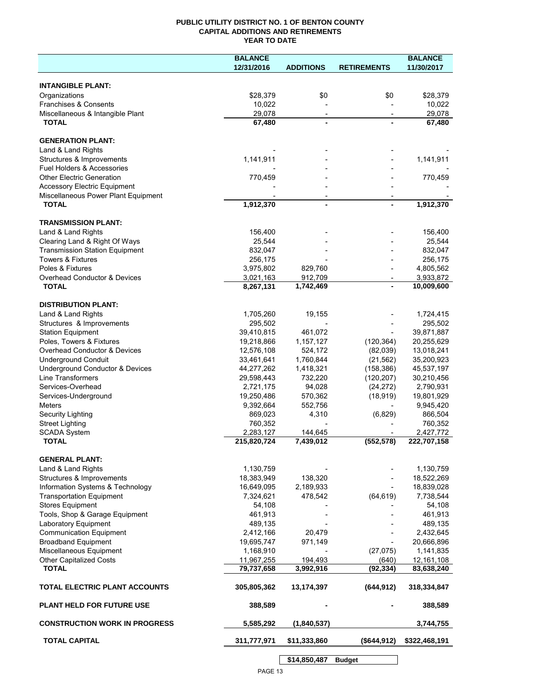# **PUBLIC UTILITY DISTRICT NO. 1 OF BENTON COUNTY CAPITAL ADDITIONS AND RETIREMENTS YEAR TO DATE**

|                                                                            | <b>BALANCE</b> |                          |                          | <b>BALANCE</b> |
|----------------------------------------------------------------------------|----------------|--------------------------|--------------------------|----------------|
|                                                                            | 12/31/2016     | <b>ADDITIONS</b>         | <b>RETIREMENTS</b>       | 11/30/2017     |
|                                                                            |                |                          |                          |                |
| <b>INTANGIBLE PLANT:</b>                                                   |                |                          |                          |                |
| Organizations                                                              | \$28,379       | \$0                      | \$0                      | \$28,379       |
| Franchises & Consents                                                      | 10,022         |                          |                          | 10,022         |
| Miscellaneous & Intangible Plant                                           | 29,078         | $\overline{\phantom{a}}$ | $\overline{\phantom{a}}$ | 29,078         |
| <b>TOTAL</b>                                                               | 67,480         |                          |                          | 67,480         |
|                                                                            |                |                          |                          |                |
| <b>GENERATION PLANT:</b>                                                   |                |                          |                          |                |
| Land & Land Rights                                                         |                |                          |                          |                |
| Structures & Improvements                                                  | 1,141,911      |                          |                          | 1,141,911      |
| Fuel Holders & Accessories                                                 |                |                          |                          |                |
| <b>Other Electric Generation</b>                                           | 770,459        |                          |                          | 770,459        |
| <b>Accessory Electric Equipment</b><br>Miscellaneous Power Plant Equipment |                |                          |                          |                |
| <b>TOTAL</b>                                                               | 1,912,370      |                          |                          | 1,912,370      |
|                                                                            |                |                          |                          |                |
| <b>TRANSMISSION PLANT:</b>                                                 |                |                          |                          |                |
| Land & Land Rights                                                         | 156,400        |                          |                          | 156,400        |
| Clearing Land & Right Of Ways                                              | 25,544         |                          |                          | 25,544         |
| <b>Transmission Station Equipment</b>                                      | 832,047        |                          |                          | 832,047        |
| <b>Towers &amp; Fixtures</b>                                               | 256,175        |                          |                          | 256,175        |
| Poles & Fixtures                                                           | 3,975,802      | 829,760                  |                          | 4,805,562      |
| Overhead Conductor & Devices                                               | 3,021,163      | 912,709                  | $\overline{\phantom{a}}$ | 3,933,872      |
| <b>TOTAL</b>                                                               | 8,267,131      | 1,742,469                |                          | 10,009,600     |
|                                                                            |                |                          |                          |                |
| <b>DISTRIBUTION PLANT:</b>                                                 |                |                          |                          |                |
| Land & Land Rights                                                         | 1,705,260      | 19,155                   |                          | 1,724,415      |
| Structures & Improvements                                                  | 295,502        |                          |                          | 295,502        |
| <b>Station Equipment</b>                                                   | 39,410,815     | 461,072                  |                          | 39,871,887     |
| Poles, Towers & Fixtures                                                   | 19,218,866     | 1,157,127                | (120, 364)               | 20,255,629     |
| Overhead Conductor & Devices                                               | 12,576,108     | 524,172                  | (82,039)                 | 13,018,241     |
| <b>Underground Conduit</b>                                                 | 33,461,641     | 1,760,844                | (21, 562)                | 35,200,923     |
| Underground Conductor & Devices                                            | 44,277,262     | 1,418,321                | (158, 386)               | 45,537,197     |
| Line Transformers                                                          | 29,598,443     | 732,220                  | (120, 207)               | 30,210,456     |
| Services-Overhead                                                          | 2,721,175      | 94,028                   | (24, 272)                | 2,790,931      |
| Services-Underground                                                       | 19,250,486     | 570,362                  | (18, 919)                | 19,801,929     |
| <b>Meters</b>                                                              | 9,392,664      | 552,756                  |                          | 9,945,420      |
| <b>Security Lighting</b>                                                   | 869,023        | 4,310                    | (6,829)                  | 866,504        |
| <b>Street Lighting</b>                                                     | 760,352        |                          |                          | 760,352        |
| <b>SCADA System</b>                                                        | 2,283,127      | 144,645                  |                          | 2,427,772      |
| <b>TOTAL</b>                                                               | 215,820,724    | 7,439,012                | (552, 578)               | 222,707,158    |
|                                                                            |                |                          |                          |                |
| <b>GENERAL PLANT:</b>                                                      |                |                          |                          |                |
| Land & Land Rights                                                         | 1,130,759      |                          |                          | 1,130,759      |
| Structures & Improvements                                                  | 18,383,949     | 138,320                  |                          | 18,522,269     |
| Information Systems & Technology                                           | 16,649,095     | 2,189,933                |                          | 18,839,028     |
| <b>Transportation Equipment</b>                                            | 7,324,621      | 478,542                  | (64, 619)                | 7,738,544      |
| <b>Stores Equipment</b>                                                    | 54,108         |                          |                          | 54,108         |
| Tools, Shop & Garage Equipment                                             | 461,913        |                          |                          | 461,913        |
| Laboratory Equipment                                                       | 489,135        |                          |                          | 489,135        |
| <b>Communication Equipment</b>                                             | 2,412,166      | 20,479                   |                          | 2,432,645      |
| <b>Broadband Equipment</b>                                                 | 19,695,747     | 971,149                  |                          | 20,666,896     |
| Miscellaneous Equipment                                                    | 1,168,910      |                          | (27, 075)                | 1,141,835      |
| Other Capitalized Costs                                                    | 11,967,255     | 194,493                  | (640)                    | 12,161,108     |
| <b>TOTAL</b>                                                               | 79,737,658     | 3,992,916                | (92, 334)                | 83,638,240     |
| TOTAL ELECTRIC PLANT ACCOUNTS                                              | 305,805,362    | 13,174,397               | (644, 912)               | 318,334,847    |
| <b>PLANT HELD FOR FUTURE USE</b>                                           | 388,589        |                          |                          | 388,589        |
| <b>CONSTRUCTION WORK IN PROGRESS</b>                                       | 5,585,292      | (1,840,537)              |                          | 3,744,755      |
| <b>TOTAL CAPITAL</b>                                                       | 311,777,971    | \$11,333,860             | (\$644,912)              | \$322,468,191  |
|                                                                            |                |                          |                          |                |
|                                                                            |                | \$14,850,487             | <b>Budget</b>            |                |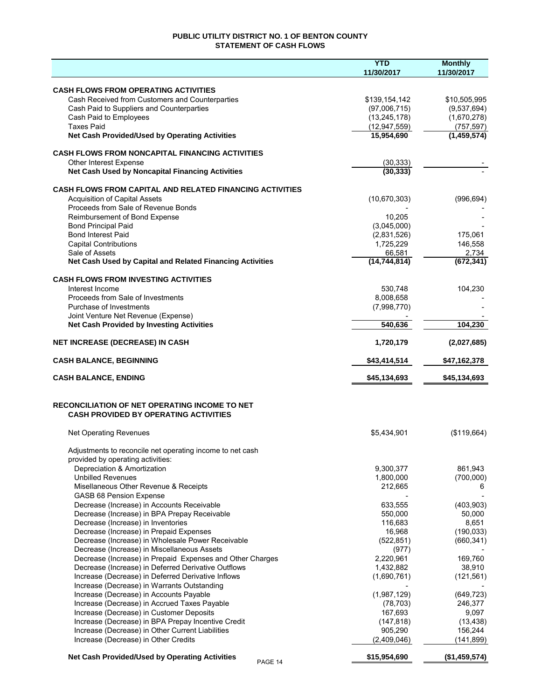# **PUBLIC UTILITY DISTRICT NO. 1 OF BENTON COUNTY STATEMENT OF CASH FLOWS**

|                                                                                                      | <b>YTD</b>     | <b>Monthly</b> |
|------------------------------------------------------------------------------------------------------|----------------|----------------|
|                                                                                                      | 11/30/2017     | 11/30/2017     |
| <b>CASH FLOWS FROM OPERATING ACTIVITIES</b>                                                          |                |                |
| Cash Received from Customers and Counterparties                                                      | \$139,154,142  | \$10,505,995   |
| Cash Paid to Suppliers and Counterparties                                                            | (97,006,715)   | (9,537,694)    |
| Cash Paid to Employees                                                                               | (13, 245, 178) | (1,670,278)    |
| <b>Taxes Paid</b>                                                                                    | (12, 947, 559) | (757, 597)     |
| Net Cash Provided/Used by Operating Activities                                                       | 15,954,690     | (1,459,574)    |
| <b>CASH FLOWS FROM NONCAPITAL FINANCING ACTIVITIES</b>                                               |                |                |
| Other Interest Expense                                                                               | (30, 333)      |                |
| Net Cash Used by Noncapital Financing Activities                                                     | (30, 333)      |                |
| <b>CASH FLOWS FROM CAPITAL AND RELATED FINANCING ACTIVITIES</b>                                      |                |                |
| <b>Acquisition of Capital Assets</b>                                                                 | (10,670,303)   | (996, 694)     |
| Proceeds from Sale of Revenue Bonds                                                                  |                |                |
| Reimbursement of Bond Expense                                                                        | 10,205         |                |
| <b>Bond Principal Paid</b>                                                                           | (3,045,000)    |                |
| <b>Bond Interest Paid</b>                                                                            | (2,831,526)    | 175,061        |
| <b>Capital Contributions</b>                                                                         | 1,725,229      | 146,558        |
| Sale of Assets                                                                                       | 66,581         | 2,734          |
| Net Cash Used by Capital and Related Financing Activities                                            | (14, 744, 814) | (672, 341)     |
| <b>CASH FLOWS FROM INVESTING ACTIVITIES</b>                                                          |                |                |
| Interest Income                                                                                      | 530.748        | 104,230        |
| Proceeds from Sale of Investments                                                                    | 8,008,658      |                |
| Purchase of Investments                                                                              | (7,998,770)    |                |
| Joint Venture Net Revenue (Expense)<br><b>Net Cash Provided by Investing Activities</b>              | 540,636        | 104,230        |
|                                                                                                      |                |                |
| <b>NET INCREASE (DECREASE) IN CASH</b>                                                               | 1,720,179      | (2,027,685)    |
| <b>CASH BALANCE, BEGINNING</b>                                                                       | \$43,414,514   | \$47,162,378   |
| <b>CASH BALANCE, ENDING</b>                                                                          | \$45,134,693   | \$45,134,693   |
| <b>RECONCILIATION OF NET OPERATING INCOME TO NET</b><br><b>CASH PROVIDED BY OPERATING ACTIVITIES</b> |                |                |
|                                                                                                      |                |                |
| <b>Net Operating Revenues</b>                                                                        | \$5,434,901    | (\$119,664)    |
| Adjustments to reconcile net operating income to net cash                                            |                |                |
| provided by operating activities:                                                                    |                |                |
| Depreciation & Amortization                                                                          | 9,300,377      | 861,943        |
| <b>Unbilled Revenues</b>                                                                             | 1,800,000      | (700,000)      |
| Misellaneous Other Revenue & Receipts                                                                | 212,665        | 6              |
| <b>GASB 68 Pension Expense</b><br>Decrease (Increase) in Accounts Receivable                         | 633,555        | (403,903)      |
| Decrease (Increase) in BPA Prepay Receivable                                                         | 550,000        | 50,000         |
| Decrease (Increase) in Inventories                                                                   | 116,683        | 8,651          |
| Decrease (Increase) in Prepaid Expenses                                                              | 16,968         | (190, 033)     |
| Decrease (Increase) in Wholesale Power Receivable                                                    | (522, 851)     | (660, 341)     |
| Decrease (Increase) in Miscellaneous Assets                                                          | (977)          |                |
| Decrease (Increase) in Prepaid Expenses and Other Charges                                            | 2,220,961      | 169,760        |
| Decrease (Increase) in Deferred Derivative Outflows                                                  | 1,432,882      | 38,910         |
| Increase (Decrease) in Deferred Derivative Inflows                                                   | (1,690,761)    | (121, 561)     |
| Increase (Decrease) in Warrants Outstanding                                                          |                |                |
| Increase (Decrease) in Accounts Payable                                                              | (1,987,129)    | (649, 723)     |
| Increase (Decrease) in Accrued Taxes Payable                                                         | (78, 703)      | 246,377        |
| Increase (Decrease) in Customer Deposits                                                             | 167,693        | 9,097          |
| Increase (Decrease) in BPA Prepay Incentive Credit                                                   | (147, 818)     | (13, 438)      |
| Increase (Decrease) in Other Current Liabilities                                                     | 905,290        | 156,244        |
| Increase (Decrease) in Other Credits                                                                 | (2,409,046)    | (141, 899)     |
| Net Cash Provided/Used by Operating Activities<br>PAGE 14                                            | \$15,954,690   | (\$1,459,574)  |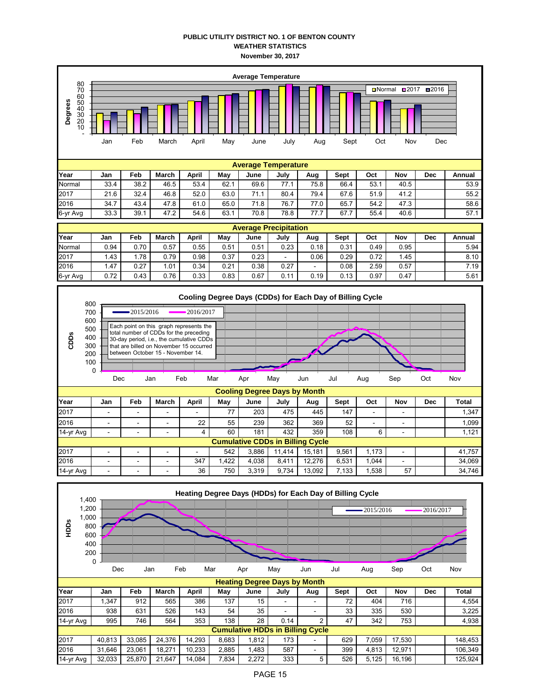## **PUBLIC UTILITY DISTRICT NO. 1 OF BENTON COUNTY WEATHER STATISTICS November 30, 2017**



**Heating Degree Days by Month Year Jan Feb March April May June July Aug Sept Oct Nov Dec Total** 2017 | 1,347 | 912 | 565 | 386 | 137 | 15 | - | - | 72 | 404 | 716 | | | 4,554 2016 | 938 | 631 | 526 | 143 | 54 | 35 | - | - | 33 | 335 | 530 | | 3,225 14-yr Avg | 995 | 746 | 564 | 353 | 138 | 28 | 0.14 | 2 | 47 | 342 | 753 | | 4,938 **Cumulative HDDs in Billing Cycle** 2017 | 40,813 | 33,085 | 24,376 | 14,293 | 8,683 | 1,812 | 173 | | 629 | 7,059 | 17,530 | | 148,453 2016 | 31,646 | 23,061 | 18,271 | 10,233 | 2,885 | 1,483 | 587 | | 399 | 4,813 | 12,971 | | 106,349 14-yr Avg | 32,033 | 25,870 | 21,647 | 14,084 | 7,834 | 2,272 | 333 | 5 | 526 | 5,125 | 16,196 | | 125,924 0 Dec Jan Feb Mar Apr May Jun Jul Aug Sep Oct Nov

200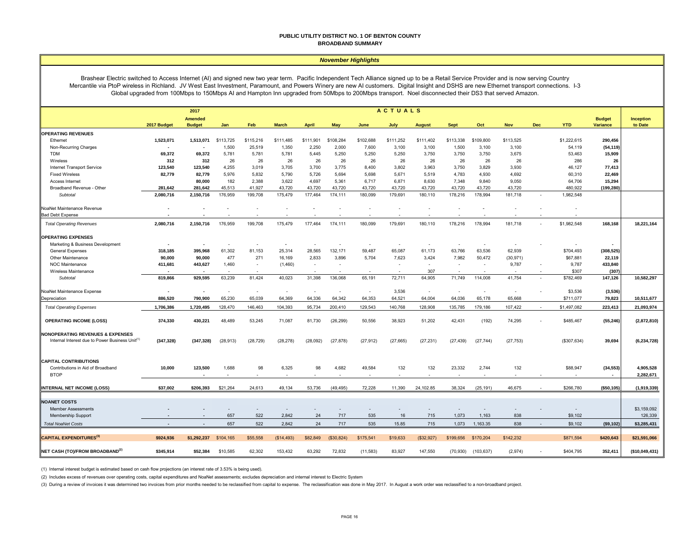#### **PUBLIC UTILITY DISTRICT NO. 1 OF BENTON COUNTY BROADBAND SUMMARY**

#### *November Highlights*

Brashear Electric switched to Access Internet (AI) and signed new two year term. Pacific Independent Tech Alliance signed up to be a Retail Service Provider and is now serving Country Mercantile via PtoP wireless in Richland. JV West East Investment, Paramount, and Powers Winery are new AI customers. Digital Insight and DSHS are new Ethernet transport connections. I-3 Global upgraded from 100Mbps to 150Mbps AI and Hampton Inn upgraded from 50Mbps to 200Mbps transport. Noel disconnected their DS3 that served Amazon.

|                                                             | <b>ACTUALS</b><br>2017 |                                 |           |                          |              |              |            |           |           |               |                 |            |            |            |             |                                  |                             |
|-------------------------------------------------------------|------------------------|---------------------------------|-----------|--------------------------|--------------|--------------|------------|-----------|-----------|---------------|-----------------|------------|------------|------------|-------------|----------------------------------|-----------------------------|
|                                                             | 2017 Budget            | <b>Amended</b><br><b>Budget</b> | Jan       | Feb                      | <b>March</b> | <b>April</b> | <b>May</b> | June      | July      | <b>August</b> | <b>Sept</b>     | Oct        | <b>Nov</b> | <b>Dec</b> | <b>YTD</b>  | <b>Budget</b><br><b>Variance</b> | <b>Inception</b><br>to Date |
| <b>IOPERATING REVENUES</b>                                  |                        |                                 |           |                          |              |              |            |           |           |               |                 |            |            |            |             |                                  |                             |
| Ethernet                                                    | 1,523,071              | 1,513,071                       | \$113,725 | \$115,216                | \$111,485    | \$111,901    | \$108,284  | \$102,688 | \$111,252 | \$111,402     | \$113,338       | \$109,800  | \$113,525  |            | \$1,222,615 | 290,456                          |                             |
| Non-Recurring Charges                                       |                        |                                 | 1,500     | 25,519                   | 1,350        | 2,250        | 2,000      | 7,600     | 3,100     | 3,100         | 1,500           | 3,100      | 3,100      |            | 54,119      | (54, 119)                        |                             |
| <b>TDM</b>                                                  | 69,372                 | 69,372                          | 5,781     | 5,781                    | 5,781        | 5,445        | 5,250      | 5,250     | 5,250     | 3,750         | 3,750           | 3,750      | 3,675      |            | 53,463      | 15,909                           |                             |
| Wireless                                                    | 312                    | 312                             | 26        | 26                       | 26           | 26           | 26         | 26        | 26        | 26            | 26              | 26         | 26         |            | 286         | 26                               |                             |
| <b>Internet Transport Service</b>                           | 123,540                | 123,540                         | 4,255     | 3,019                    | 3,705        | 3,700        | 3,775      | 8,400     | 3,802     | 3,963         | 3,750           | 3,829      | 3,930      |            | 46,127      | 77,413                           |                             |
| <b>Fixed Wireless</b>                                       | 82,779                 | 82,779                          | 5,976     | 5,832                    | 5,790        | 5,726        | 5,694      | 5,698     | 5,671     | 5,519         | 4,783           | 4,930      | 4,692      |            | 60,310      | 22,469                           |                             |
| Access Internet                                             |                        | 80,000                          | 182       | 2,388                    | 3,622        | 4,697        | 5,361      | 6,717     | 6,871     | 8,630         | 7,348           | 9,840      | 9,050      |            | 64,706      | 15,294                           |                             |
| Broadband Revenue - Other                                   | 281,642                | 281,642                         | 45,513    | 41,927                   | 43,720       | 43,720       | 43,720     | 43,720    | 43,720    | 43,720        | 43,720          | 43,720     | 43,720     |            | 480,922     | (199,280                         |                             |
| Subtotal                                                    | 2,080,716              | 2,150,716                       | 176,959   | 199,708                  | 175,479      | 177,464      | 174,111    | 180,099   | 179,691   | 180,110       | 178,216         | 178,994    | 181,718    |            | 1,982,548   |                                  |                             |
| NoaNet Maintenance Revenue                                  |                        |                                 |           | ÷,                       |              |              |            |           |           |               |                 |            |            |            |             |                                  |                             |
| <b>Bad Debt Expense</b>                                     |                        |                                 |           | $\overline{\phantom{a}}$ |              |              |            |           |           |               |                 |            |            |            |             |                                  |                             |
| <b>Total Operating Revenues</b>                             | 2,080,716              | 2,150,716                       | 176,959   | 199,708                  | 175,479      | 177,464      | 174,111    | 180,099   | 179,691   | 180,110       | 178,216         | 178,994    | 181,718    |            | \$1,982,548 | 168,168                          | 18,221,164                  |
| <b>OPERATING EXPENSES</b>                                   |                        |                                 |           | ٠                        |              |              |            |           |           |               |                 |            |            |            |             |                                  |                             |
| Marketing & Business Development                            | 318,185                | 395,968                         | 61,302    | 81,153                   | 25,314       | 28,565       | 132,171    | 59,487    | 65,087    | 61,173        |                 | 63,536     | 62,939     |            | \$704,493   |                                  |                             |
| General Expenses<br>Other Maintenance                       | 90,000                 | 90,000                          | 477       | 271                      | 16,169       | 2,833        | 3,896      | 5,704     | 7,623     | 3,424         | 63,766<br>7,982 | 50,472     | (30, 971)  |            | \$67,881    | (308, 525)<br>22,119             |                             |
| NOC Maintenance                                             | 411,681                | 443,627                         | 1,460     |                          | (1,460)      |              |            |           |           | $\sim$        |                 |            | 9,787      |            | 9,787       | 433,840                          |                             |
| Wireless Maintenance                                        |                        |                                 |           | $\overline{\phantom{a}}$ |              |              |            |           |           | 307           |                 |            |            |            | \$307       | (307)                            |                             |
| Subtotal                                                    | 819,866                | 929,595                         | 63,239    | 81,424                   | 40,023       | 31,398       | 136,068    | 65,191    | 72,711    | 64,905        | 71,749          | 114,008    | 41,754     |            | \$782,469   | 147,126                          | 10,582,297                  |
|                                                             |                        |                                 |           |                          |              |              |            |           |           |               |                 |            |            |            |             |                                  |                             |
| NoaNet Maintenance Expense                                  | ۰.                     |                                 | i al      | $\sim$                   | $\sim$       |              | in 1919.   | $\sim$    | 3,536     | $\sim$        |                 | $\sim$     |            |            | \$3,536     | (3, 536)                         |                             |
| Depreciation                                                | 886,520                | 790,900                         | 65,230    | 65,039                   | 64,369       | 64,336       | 64,342     | 64,353    | 64,521    | 64,004        | 64,036          | 65,178     | 65,668     |            | \$711,077   | 79,823                           | 10,511,677                  |
| <b>Total Operating Expenses</b>                             | 1,706,386              | 1,720,495                       | 128,470   | 146,463                  | 104,393      | 95,734       | 200,410    | 129,543   | 140,768   | 128,908       | 135,785         | 179,186    | 107,422    |            | \$1,497,082 | 223,413                          | 21,093,974                  |
| <b>OPERATING INCOME (LOSS)</b>                              | 374,330                | 430,221                         | 48,489    | 53,245                   | 71,087       | 81,730       | (26, 299)  | 50,556    | 38,923    | 51,202        | 42,431          | (192)      | 74,295     |            | \$485,467   | (55, 246)                        | (2,872,810)                 |
| NONOPERATING REVENUES & EXPENSES                            |                        |                                 |           |                          |              |              |            |           |           |               |                 |            |            |            |             |                                  |                             |
| Internal Interest due to Power Business Unit <sup>(1)</sup> | (347, 328)             | (347, 328)                      | (28, 913) | (28, 729)                | (28, 278)    | (28,092)     | (27, 878)  | (27, 912) | (27, 665) | (27, 231)     | (27, 439)       | (27, 744)  | (27, 753)  |            | (\$307,634) | 39,694                           | (6, 234, 728)               |
|                                                             |                        |                                 |           |                          |              |              |            |           |           |               |                 |            |            |            |             |                                  |                             |
| <b>CAPITAL CONTRIBUTIONS</b>                                |                        |                                 |           |                          |              |              |            |           |           |               |                 |            |            |            |             |                                  |                             |
| Contributions in Aid of Broadband                           | 10,000                 | 123,500                         | 1,688     | 98                       | 6,325        | 98           | 4,682      | 49,584    | 132       | 132           | 23,332          | 2,744      | 132        |            | \$88,947    | (34, 553)                        | 4,905,528                   |
| <b>BTOP</b>                                                 |                        |                                 | $\sim$    | $\overline{\phantom{a}}$ |              |              |            |           |           |               |                 |            |            |            |             |                                  | 2,282,671                   |
| <b>INTERNAL NET INCOME (LOSS)</b>                           | \$37,002               | \$206,393                       | \$21,264  | 24,613                   | 49,134       | 53,736       | (49, 495)  | 72,228    | 11,390    | 24,102.85     | 38,324          | (25, 191)  | 46,675     |            | \$266,780   | (\$50, 105)                      | (1,919,339)                 |
|                                                             |                        |                                 |           |                          |              |              |            |           |           |               |                 |            |            |            |             |                                  |                             |
| <b>NOANET COSTS</b>                                         |                        |                                 |           |                          |              |              |            |           |           |               |                 |            |            |            |             |                                  |                             |
| <b>Member Assessments</b>                                   |                        |                                 |           | $\overline{\phantom{a}}$ |              |              |            |           |           |               |                 |            |            |            |             |                                  | \$3,159,092                 |
| Membership Support                                          |                        |                                 | 657       | 522                      | 2,842        | 24           | 717        | 535       | 16        | 715           | 1,073           | 1,163      | 838        |            | \$9,102     |                                  | 126,339                     |
| <b>Total NoaNet Costs</b>                                   |                        |                                 | 657       | 522                      | 2,842        | 24           | 717        | 535       | 15.85     | 715           | 1,073           | 1,163.35   | 838        |            | \$9,102     | (\$9,102)                        | \$3,285,431                 |
| <b>CAPITAL EXPENDITURES(3)</b>                              | \$924,936              | \$1,292,237                     | \$104,165 | \$55,558                 | (\$14,493)   | \$82,849     | (\$30,824) | \$175,541 | \$19,633  | (S32, 927)    | \$199,656       | \$170,204  | \$142,232  |            | \$871,594   | \$420,643                        | \$21,591,066                |
| NET CASH (TO)/FROM BROADBAND <sup>(2)</sup>                 | \$345,914              | \$52,384                        | \$10,585  | 62,302                   | 153,432      | 63,292       | 72,832     | (11,583)  | 83,927    | 147,550       | (70, 930)       | (103, 637) | (2,974)    |            | \$404,795   | 352,411                          | (\$10,049,431)              |

(1) Internal interest budget is estimated based on cash flow projections (an interest rate of 3.53% is being used).

(2) Includes excess of revenues over operating costs, capital expenditures and NoaNet assessments; excludes depreciation and internal interest to Electric System

(3) During a review of invoices it was determined two invoices from prior months needed to be reclassified from capital to expense. The reclassification was done in May 2017. In August a work order was reclassified to a no